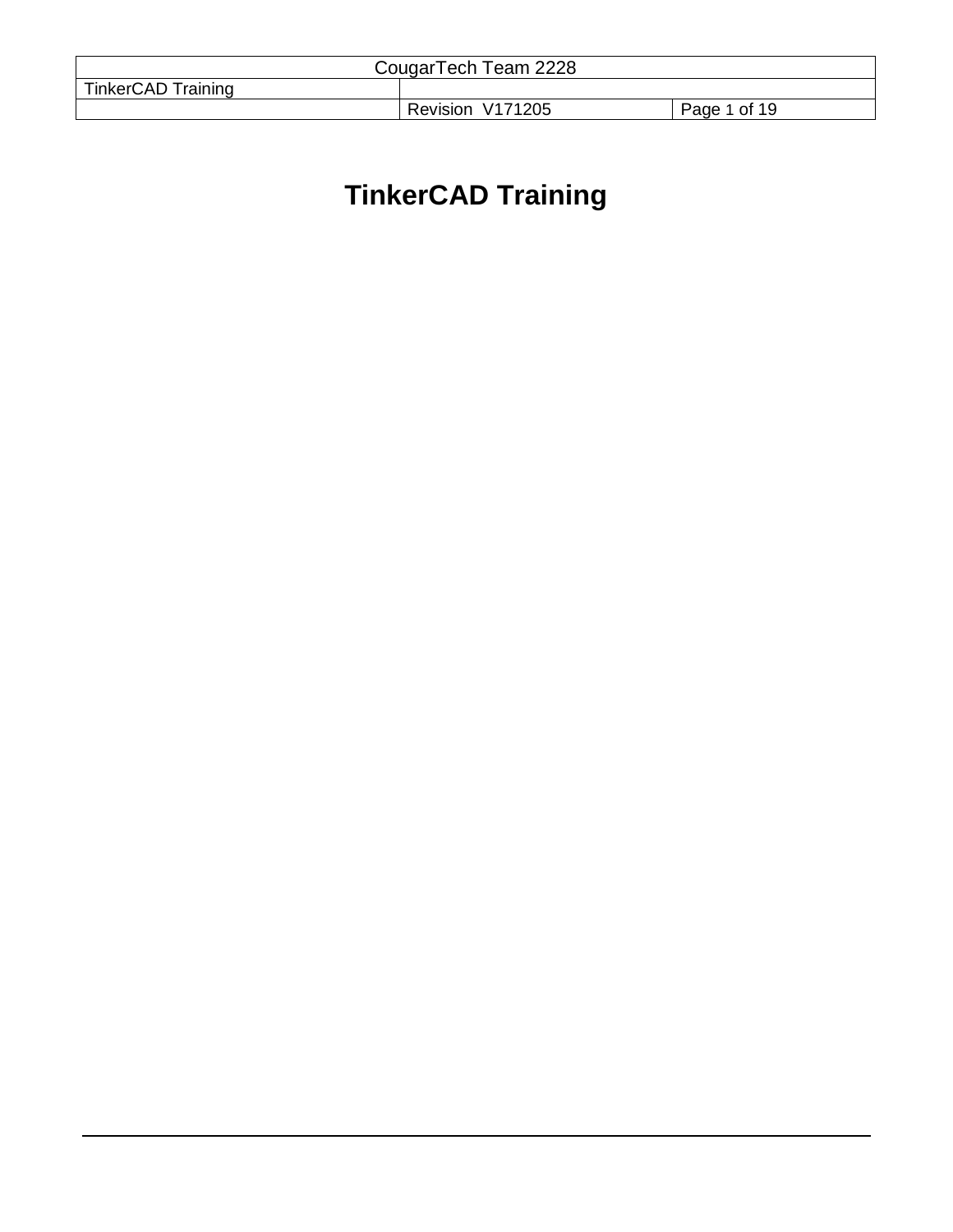|                           | CougarTech Team 2228 |              |
|---------------------------|----------------------|--------------|
| <b>TinkerCAD Training</b> |                      |              |
|                           | Revision V171205     | Page 1 of 19 |

# **TinkerCAD Training**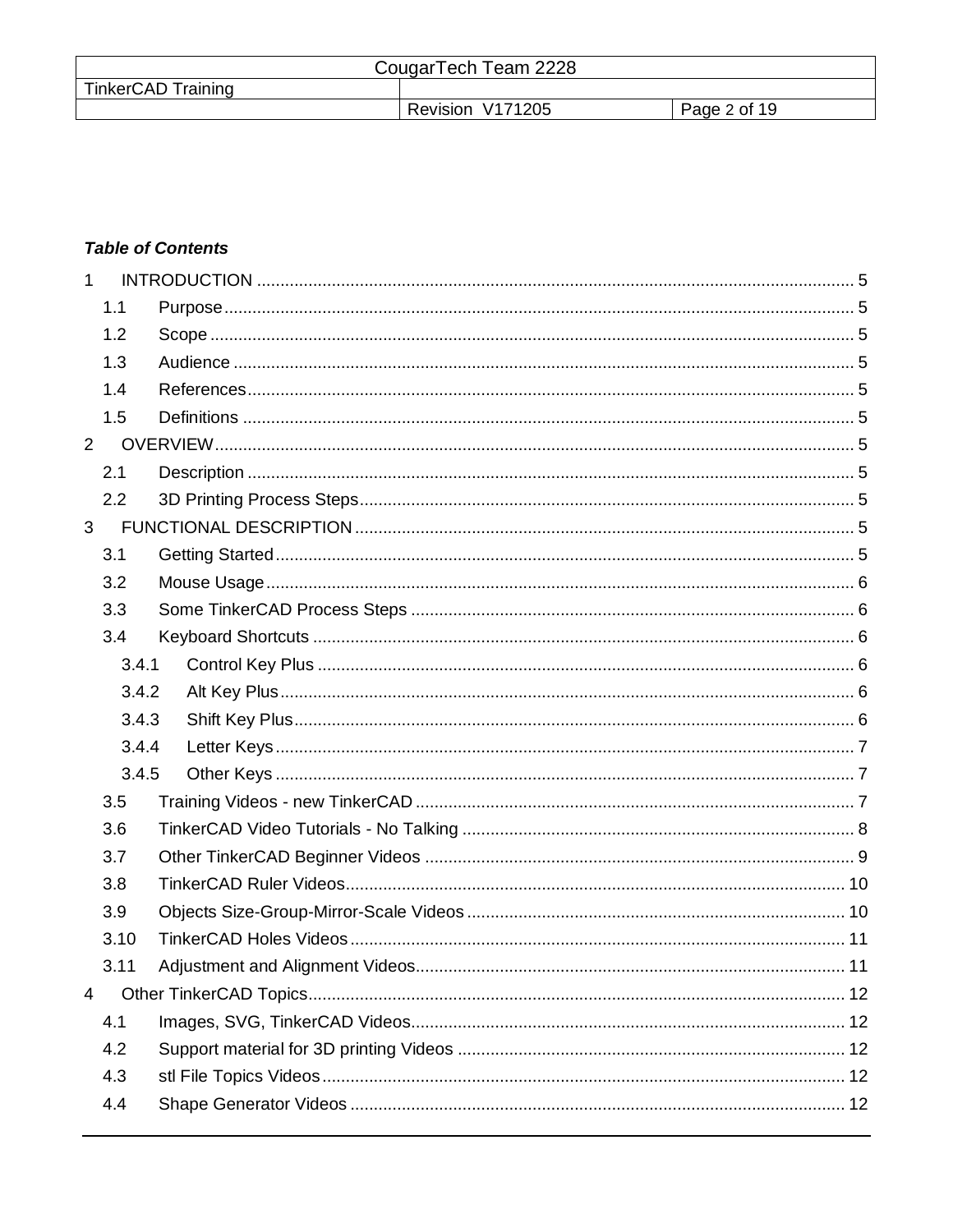| CougarTech Team 2228      |                  |              |
|---------------------------|------------------|--------------|
| <b>TinkerCAD Training</b> |                  |              |
|                           | Revision V171205 | Page 2 of 19 |

# **Table of Contents**

| $\mathbf{1}$   |       |  |
|----------------|-------|--|
|                | 1.1   |  |
|                | 1.2   |  |
|                | 1.3   |  |
|                | 1.4   |  |
|                | 1.5   |  |
| $\overline{2}$ |       |  |
|                | 2.1   |  |
|                | 2.2   |  |
| 3              |       |  |
|                | 3.1   |  |
|                | 3.2   |  |
|                | 3.3   |  |
|                | 3.4   |  |
|                | 3.4.1 |  |
|                | 3.4.2 |  |
|                | 3.4.3 |  |
|                | 3.4.4 |  |
|                | 3.4.5 |  |
|                | 3.5   |  |
|                | 3.6   |  |
|                | 3.7   |  |
|                | 3.8   |  |
|                | 3.9   |  |
|                | 3.10  |  |
|                | 3.11  |  |
| 4              |       |  |
|                | 4.1   |  |
|                | 4.2   |  |
|                | 4.3   |  |
|                | 4.4   |  |
|                |       |  |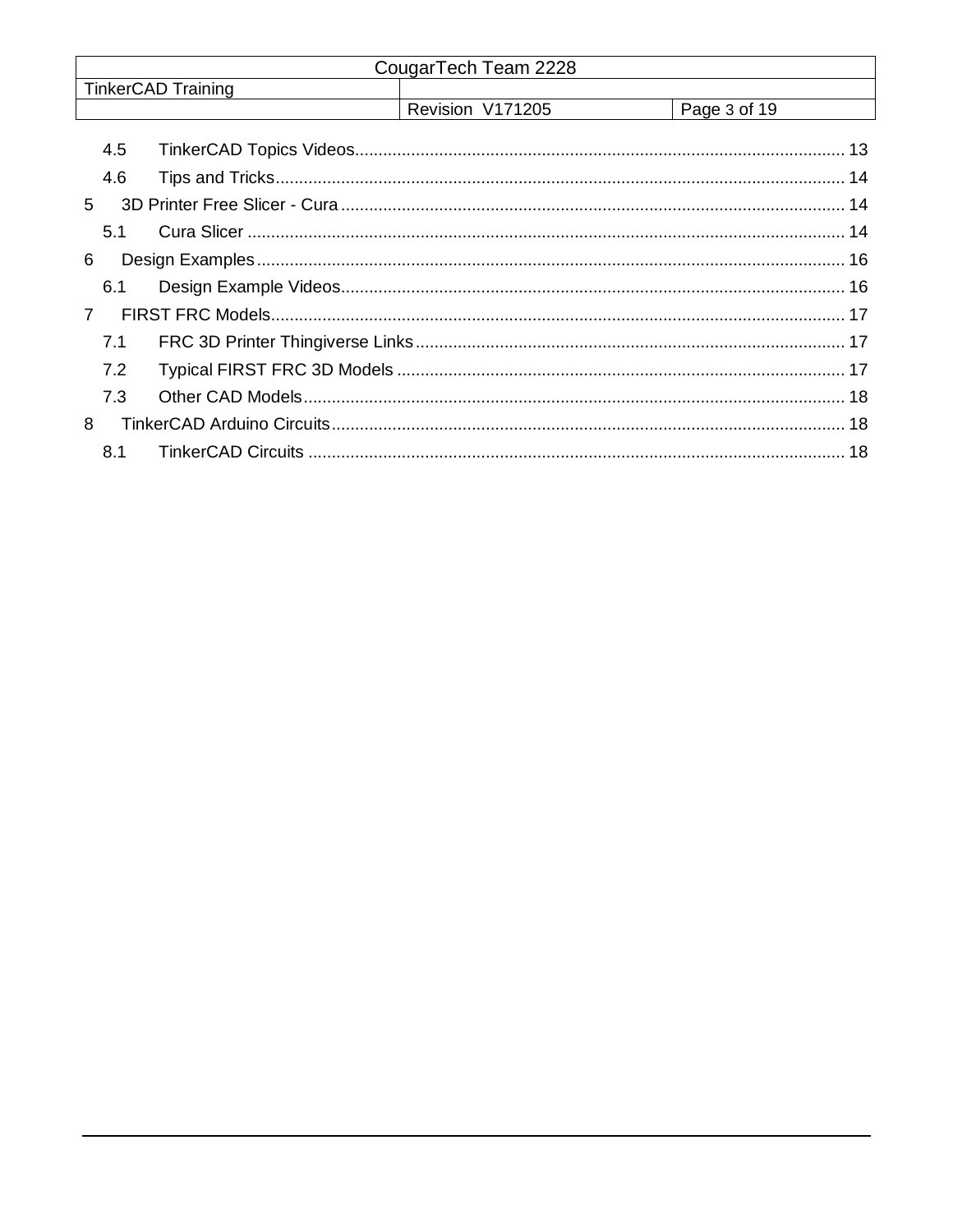|             |                           | CougarTech Team 2228 |              |
|-------------|---------------------------|----------------------|--------------|
|             | <b>TinkerCAD Training</b> |                      |              |
|             |                           | Revision V171205     | Page 3 of 19 |
| 4.5         |                           |                      |              |
| 4.6         |                           |                      |              |
| $5^{\circ}$ |                           |                      |              |
| 5.1         |                           |                      |              |
| 6           |                           |                      |              |
| 6.1         |                           |                      |              |
|             |                           |                      |              |
| 7.1         |                           |                      |              |
| 7.2         |                           |                      |              |
| 7.3         |                           |                      |              |
| 8           |                           |                      |              |
| 8.1         |                           |                      |              |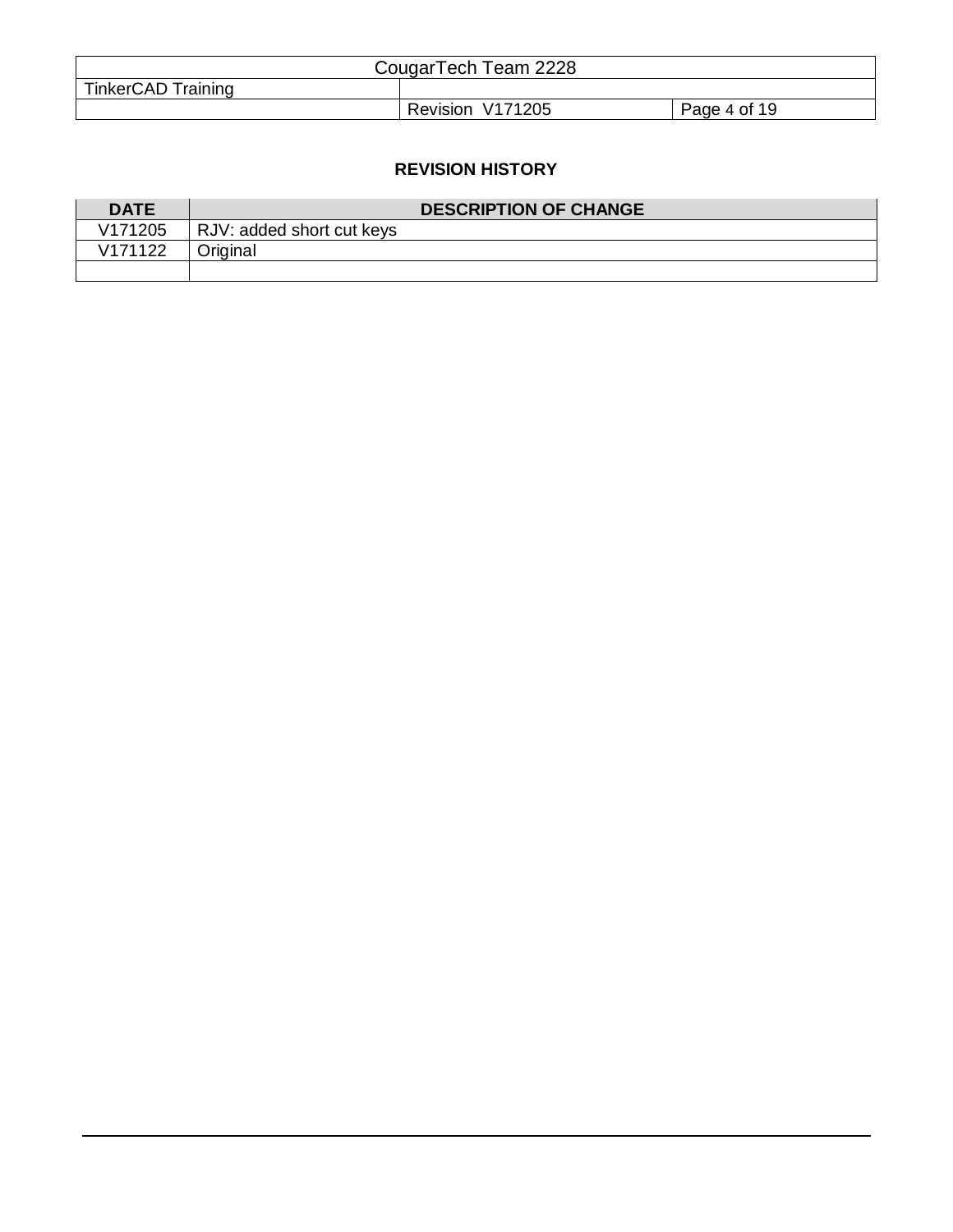| CougarTech Team 2228      |                  |              |
|---------------------------|------------------|--------------|
| <b>TinkerCAD Training</b> |                  |              |
|                           | Revision V171205 | Page 4 of 19 |

# **REVISION HISTORY**

| <b>DATE</b>         | <b>DESCRIPTION OF CHANGE</b> |
|---------------------|------------------------------|
| V171205             | RJV: added short cut keys    |
| V <sub>171122</sub> | Original                     |
|                     |                              |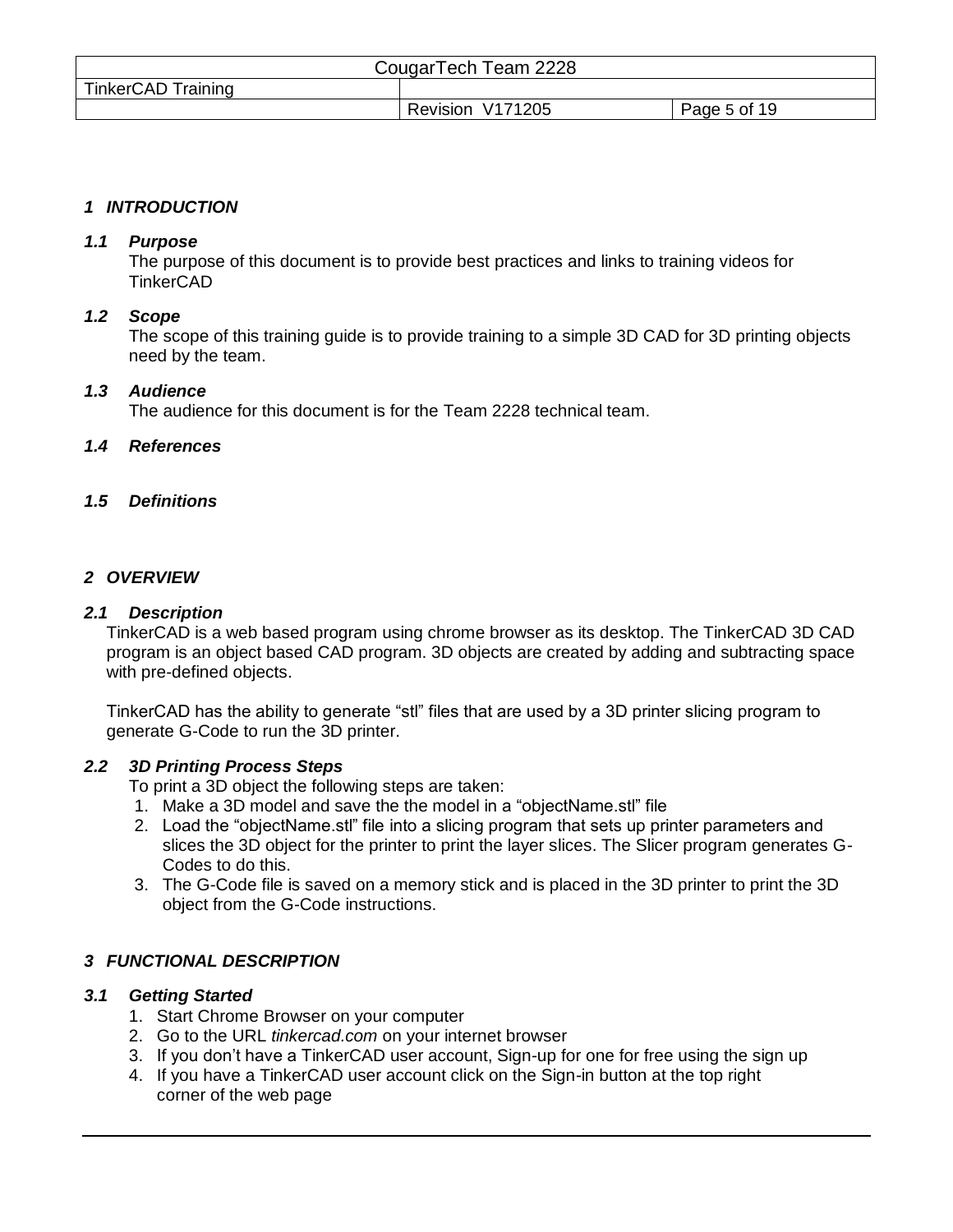|                           | CougarTech Team 2228 |              |
|---------------------------|----------------------|--------------|
| <b>TinkerCAD Training</b> |                      |              |
|                           | Revision V171205     | Page 5 of 19 |

# <span id="page-4-0"></span>*1 INTRODUCTION*

## <span id="page-4-1"></span>*1.1 Purpose*

The purpose of this document is to provide best practices and links to training videos for TinkerCAD

## <span id="page-4-2"></span>*1.2 Scope*

The scope of this training guide is to provide training to a simple 3D CAD for 3D printing objects need by the team.

#### <span id="page-4-3"></span>*1.3 Audience*

The audience for this document is for the Team 2228 technical team.

# <span id="page-4-4"></span>*1.4 References*

# <span id="page-4-5"></span>*1.5 Definitions*

#### <span id="page-4-6"></span>*2 OVERVIEW*

#### <span id="page-4-7"></span>*2.1 Description*

TinkerCAD is a web based program using chrome browser as its desktop. The TinkerCAD 3D CAD program is an object based CAD program. 3D objects are created by adding and subtracting space with pre-defined objects.

TinkerCAD has the ability to generate "stl" files that are used by a 3D printer slicing program to generate G-Code to run the 3D printer.

# <span id="page-4-8"></span>*2.2 3D Printing Process Steps*

To print a 3D object the following steps are taken:

- 1. Make a 3D model and save the the model in a "objectName.stl" file
- 2. Load the "objectName.stl" file into a slicing program that sets up printer parameters and slices the 3D object for the printer to print the layer slices. The Slicer program generates G-Codes to do this.
- 3. The G-Code file is saved on a memory stick and is placed in the 3D printer to print the 3D object from the G-Code instructions.

# <span id="page-4-9"></span>*3 FUNCTIONAL DESCRIPTION*

# <span id="page-4-10"></span>*3.1 Getting Started*

- 1. Start Chrome Browser on your computer
- 2. Go to the URL *tinkercad.com* on your internet browser
- 3. If you don't have a TinkerCAD user account, Sign-up for one for free using the sign up
- 4. If you have a TinkerCAD user account click on the Sign-in button at the top right corner of the web page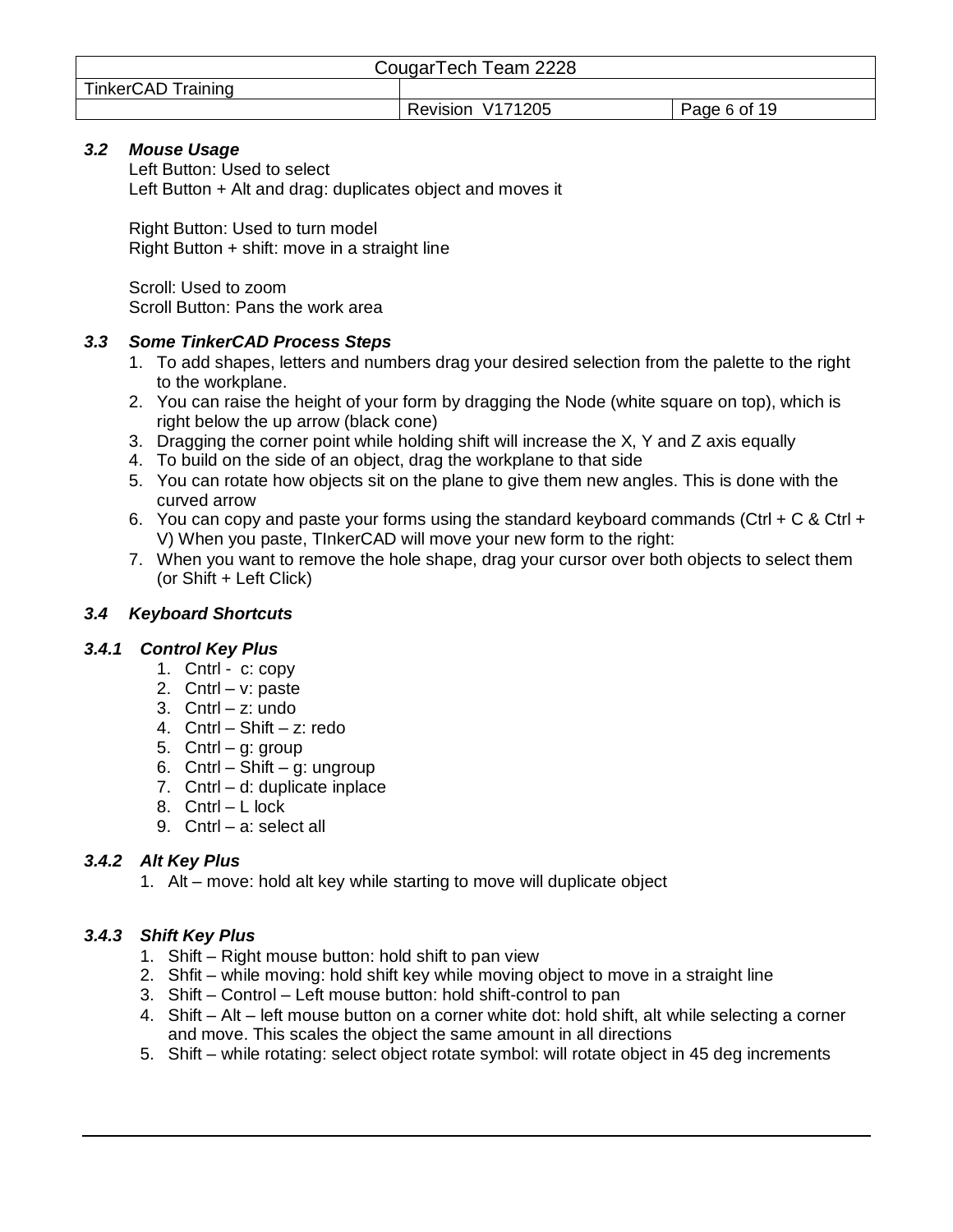|                    | CougarTech Team 2228 |              |
|--------------------|----------------------|--------------|
| TinkerCAD Training |                      |              |
|                    | Revision V171205     | Page 6 of 19 |

# <span id="page-5-0"></span>*3.2 Mouse Usage*

Left Button: Used to select Left Button + Alt and drag: duplicates object and moves it

Right Button: Used to turn model Right Button + shift: move in a straight line

Scroll: Used to zoom Scroll Button: Pans the work area

# <span id="page-5-1"></span>*3.3 Some TinkerCAD Process Steps*

- 1. To add shapes, letters and numbers drag your desired selection from the palette to the right to the workplane.
- 2. You can raise the height of your form by dragging the Node (white square on top), which is right below the up arrow (black cone)
- 3. Dragging the corner point while holding shift will increase the X, Y and Z axis equally
- 4. To build on the side of an object, drag the workplane to that side
- 5. You can rotate how objects sit on the plane to give them new angles. This is done with the curved arrow
- 6. You can copy and paste your forms using the standard keyboard commands (Ctrl + C & Ctrl + V) When you paste, TInkerCAD will move your new form to the right:
- 7. When you want to remove the hole shape, drag your cursor over both objects to select them (or Shift + Left Click)

# <span id="page-5-2"></span>*3.4 Keyboard Shortcuts*

# <span id="page-5-3"></span>*3.4.1 Control Key Plus*

- 1. Cntrl c: copy
- 2. Cntrl v: paste
- 3. Cntrl z: undo
- 4. Cntrl Shift z: redo
- 5. Cntrl g: group
- 6. Cntrl Shift g: ungroup
- 7. Cntrl d: duplicate inplace
- 8. Cntrl L lock
- 9. Cntrl a: select all

# <span id="page-5-4"></span>*3.4.2 Alt Key Plus*

1. Alt – move: hold alt key while starting to move will duplicate object

# <span id="page-5-5"></span>*3.4.3 Shift Key Plus*

- 1. Shift Right mouse button: hold shift to pan view
- 2. Shfit while moving: hold shift key while moving object to move in a straight line
- 3. Shift Control Left mouse button: hold shift-control to pan
- 4. Shift Alt left mouse button on a corner white dot: hold shift, alt while selecting a corner and move. This scales the object the same amount in all directions
- 5. Shift while rotating: select object rotate symbol: will rotate object in 45 deg increments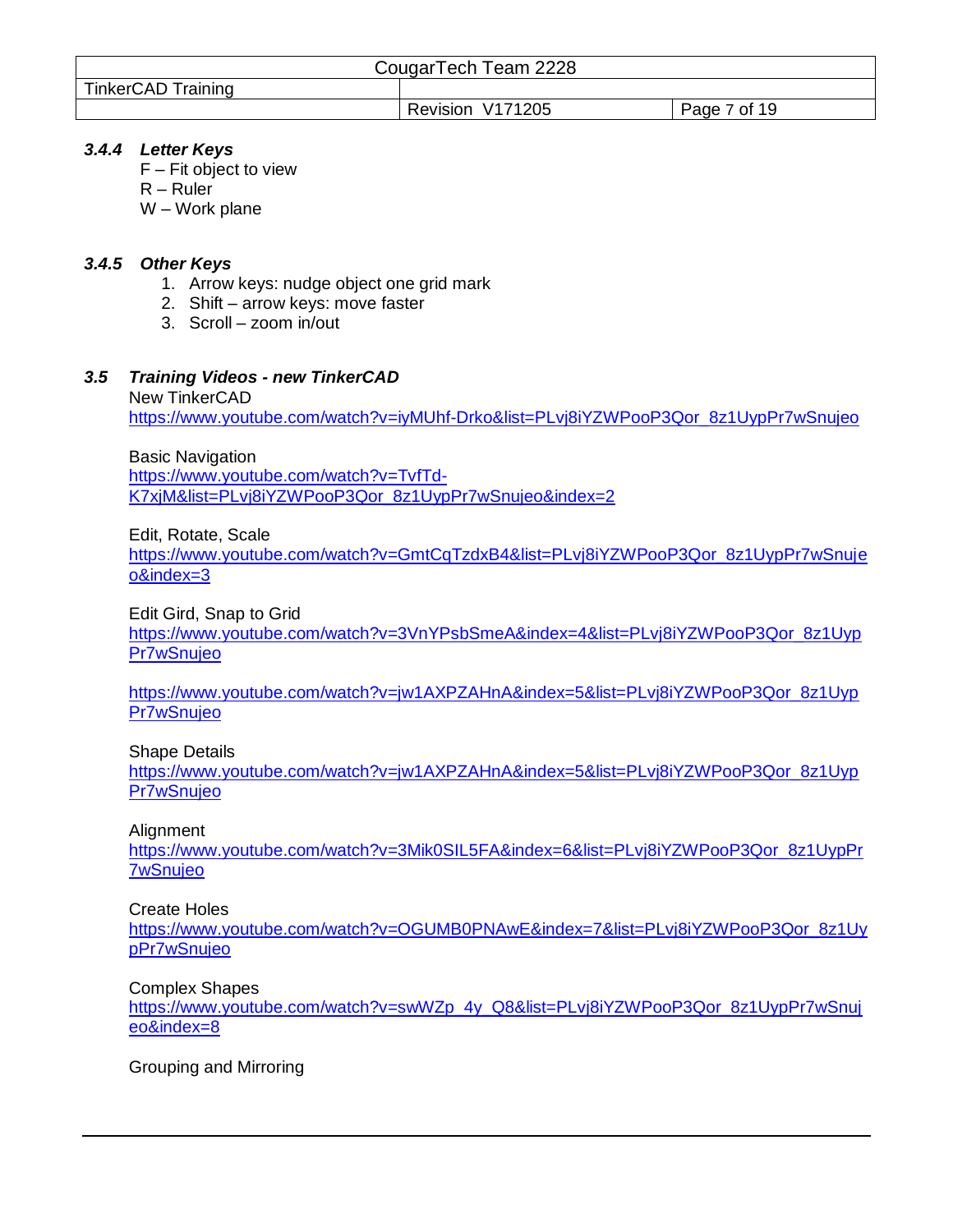|                    | CougarTech Team 2228 |              |
|--------------------|----------------------|--------------|
| TinkerCAD Training |                      |              |
|                    | Revision V171205     | Page 7 of 19 |

# <span id="page-6-0"></span>*3.4.4 Letter Keys*

- F Fit object to view
- R Ruler
- W Work plane

# <span id="page-6-1"></span>*3.4.5 Other Keys*

- 1. Arrow keys: nudge object one grid mark
- 2. Shift arrow keys: move faster
- 3. Scroll zoom in/out

#### <span id="page-6-2"></span>*3.5 Training Videos - new TinkerCAD* New TinkerCAD

[https://www.youtube.com/watch?v=iyMUhf-Drko&list=PLvj8iYZWPooP3Qor\\_8z1UypPr7wSnujeo](https://www.youtube.com/watch?v=iyMUhf-Drko&list=PLvj8iYZWPooP3Qor_8z1UypPr7wSnujeo)

Basic Navigation [https://www.youtube.com/watch?v=TvfTd-](https://www.youtube.com/watch?v=TvfTd-K7xjM&list=PLvj8iYZWPooP3Qor_8z1UypPr7wSnujeo&index=2)

[K7xjM&list=PLvj8iYZWPooP3Qor\\_8z1UypPr7wSnujeo&index=2](https://www.youtube.com/watch?v=TvfTd-K7xjM&list=PLvj8iYZWPooP3Qor_8z1UypPr7wSnujeo&index=2)

Edit, Rotate, Scale

[https://www.youtube.com/watch?v=GmtCqTzdxB4&list=PLvj8iYZWPooP3Qor\\_8z1UypPr7wSnuje](https://www.youtube.com/watch?v=GmtCqTzdxB4&list=PLvj8iYZWPooP3Qor_8z1UypPr7wSnujeo&index=3) [o&index=3](https://www.youtube.com/watch?v=GmtCqTzdxB4&list=PLvj8iYZWPooP3Qor_8z1UypPr7wSnujeo&index=3)

Edit Gird, Snap to Grid

[https://www.youtube.com/watch?v=3VnYPsbSmeA&index=4&list=PLvj8iYZWPooP3Qor\\_8z1Uyp](https://www.youtube.com/watch?v=3VnYPsbSmeA&index=4&list=PLvj8iYZWPooP3Qor_8z1UypPr7wSnujeo) [Pr7wSnujeo](https://www.youtube.com/watch?v=3VnYPsbSmeA&index=4&list=PLvj8iYZWPooP3Qor_8z1UypPr7wSnujeo)

[https://www.youtube.com/watch?v=jw1AXPZAHnA&index=5&list=PLvj8iYZWPooP3Qor\\_8z1Uyp](https://www.youtube.com/watch?v=jw1AXPZAHnA&index=5&list=PLvj8iYZWPooP3Qor_8z1UypPr7wSnujeo) [Pr7wSnujeo](https://www.youtube.com/watch?v=jw1AXPZAHnA&index=5&list=PLvj8iYZWPooP3Qor_8z1UypPr7wSnujeo)

Shape Details

[https://www.youtube.com/watch?v=jw1AXPZAHnA&index=5&list=PLvj8iYZWPooP3Qor\\_8z1Uyp](https://www.youtube.com/watch?v=jw1AXPZAHnA&index=5&list=PLvj8iYZWPooP3Qor_8z1UypPr7wSnujeo) [Pr7wSnujeo](https://www.youtube.com/watch?v=jw1AXPZAHnA&index=5&list=PLvj8iYZWPooP3Qor_8z1UypPr7wSnujeo)

Alignment

[https://www.youtube.com/watch?v=3Mik0SIL5FA&index=6&list=PLvj8iYZWPooP3Qor\\_8z1UypPr](https://www.youtube.com/watch?v=3Mik0SIL5FA&index=6&list=PLvj8iYZWPooP3Qor_8z1UypPr7wSnujeo) [7wSnujeo](https://www.youtube.com/watch?v=3Mik0SIL5FA&index=6&list=PLvj8iYZWPooP3Qor_8z1UypPr7wSnujeo)

Create Holes

[https://www.youtube.com/watch?v=OGUMB0PNAwE&index=7&list=PLvj8iYZWPooP3Qor\\_8z1Uy](https://www.youtube.com/watch?v=OGUMB0PNAwE&index=7&list=PLvj8iYZWPooP3Qor_8z1UypPr7wSnujeo) [pPr7wSnujeo](https://www.youtube.com/watch?v=OGUMB0PNAwE&index=7&list=PLvj8iYZWPooP3Qor_8z1UypPr7wSnujeo)

Complex Shapes

[https://www.youtube.com/watch?v=swWZp\\_4y\\_Q8&list=PLvj8iYZWPooP3Qor\\_8z1UypPr7wSnuj](https://www.youtube.com/watch?v=swWZp_4y_Q8&list=PLvj8iYZWPooP3Qor_8z1UypPr7wSnujeo&index=8) [eo&index=8](https://www.youtube.com/watch?v=swWZp_4y_Q8&list=PLvj8iYZWPooP3Qor_8z1UypPr7wSnujeo&index=8)

Grouping and Mirroring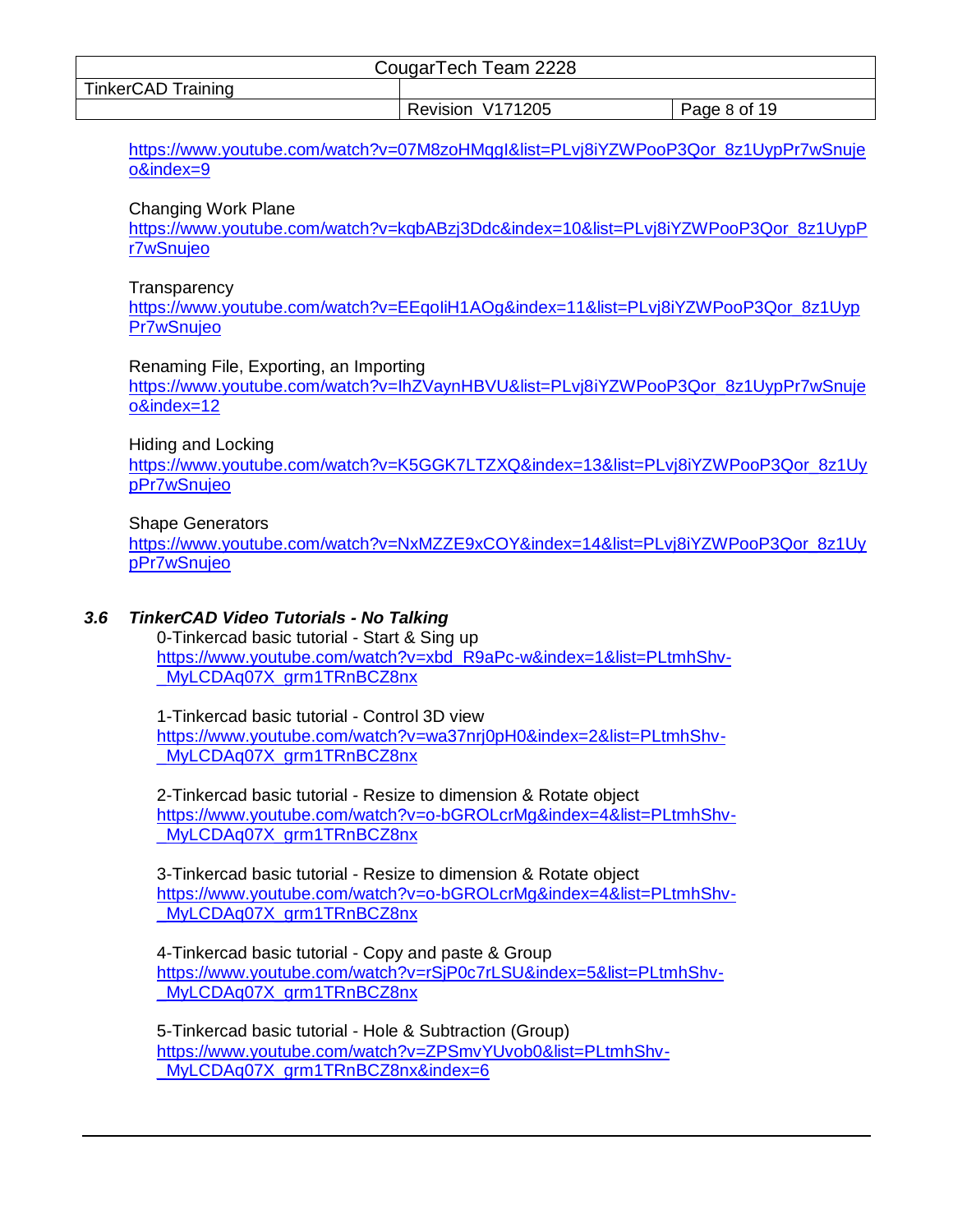| CougarTech Team 2228      |                  |              |
|---------------------------|------------------|--------------|
| <b>TinkerCAD Training</b> |                  |              |
|                           | Revision V171205 | Page 8 of 19 |

[https://www.youtube.com/watch?v=07M8zoHMqgI&list=PLvj8iYZWPooP3Qor\\_8z1UypPr7wSnuje](https://www.youtube.com/watch?v=07M8zoHMqgI&list=PLvj8iYZWPooP3Qor_8z1UypPr7wSnujeo&index=9) [o&index=9](https://www.youtube.com/watch?v=07M8zoHMqgI&list=PLvj8iYZWPooP3Qor_8z1UypPr7wSnujeo&index=9)

#### Changing Work Plane

[https://www.youtube.com/watch?v=kqbABzj3Ddc&index=10&list=PLvj8iYZWPooP3Qor\\_8z1UypP](https://www.youtube.com/watch?v=kqbABzj3Ddc&index=10&list=PLvj8iYZWPooP3Qor_8z1UypPr7wSnujeo) [r7wSnujeo](https://www.youtube.com/watch?v=kqbABzj3Ddc&index=10&list=PLvj8iYZWPooP3Qor_8z1UypPr7wSnujeo)

#### **Transparency**

[https://www.youtube.com/watch?v=EEqoIiH1AOg&index=11&list=PLvj8iYZWPooP3Qor\\_8z1Uyp](https://www.youtube.com/watch?v=EEqoIiH1AOg&index=11&list=PLvj8iYZWPooP3Qor_8z1UypPr7wSnujeo) [Pr7wSnujeo](https://www.youtube.com/watch?v=EEqoIiH1AOg&index=11&list=PLvj8iYZWPooP3Qor_8z1UypPr7wSnujeo)

Renaming File, Exporting, an Importing

[https://www.youtube.com/watch?v=IhZVaynHBVU&list=PLvj8iYZWPooP3Qor\\_8z1UypPr7wSnuje](https://www.youtube.com/watch?v=IhZVaynHBVU&list=PLvj8iYZWPooP3Qor_8z1UypPr7wSnujeo&index=12) [o&index=12](https://www.youtube.com/watch?v=IhZVaynHBVU&list=PLvj8iYZWPooP3Qor_8z1UypPr7wSnujeo&index=12)

#### Hiding and Locking

[https://www.youtube.com/watch?v=K5GGK7LTZXQ&index=13&list=PLvj8iYZWPooP3Qor\\_8z1Uy](https://www.youtube.com/watch?v=K5GGK7LTZXQ&index=13&list=PLvj8iYZWPooP3Qor_8z1UypPr7wSnujeo) [pPr7wSnujeo](https://www.youtube.com/watch?v=K5GGK7LTZXQ&index=13&list=PLvj8iYZWPooP3Qor_8z1UypPr7wSnujeo)

#### Shape Generators

[https://www.youtube.com/watch?v=NxMZZE9xCOY&index=14&list=PLvj8iYZWPooP3Qor\\_8z1Uy](https://www.youtube.com/watch?v=NxMZZE9xCOY&index=14&list=PLvj8iYZWPooP3Qor_8z1UypPr7wSnujeo) [pPr7wSnujeo](https://www.youtube.com/watch?v=NxMZZE9xCOY&index=14&list=PLvj8iYZWPooP3Qor_8z1UypPr7wSnujeo)

## <span id="page-7-0"></span>*3.6 TinkerCAD Video Tutorials - No Talking*

0-Tinkercad basic tutorial - Start & Sing up [https://www.youtube.com/watch?v=xbd\\_R9aPc-w&index=1&list=PLtmhShv-](https://www.youtube.com/watch?v=xbd_R9aPc-w&index=1&list=PLtmhShv-_MyLCDAq07X_grm1TRnBCZ8nx) [\\_MyLCDAq07X\\_grm1TRnBCZ8nx](https://www.youtube.com/watch?v=xbd_R9aPc-w&index=1&list=PLtmhShv-_MyLCDAq07X_grm1TRnBCZ8nx)

1-Tinkercad basic tutorial - Control 3D view [https://www.youtube.com/watch?v=wa37nrj0pH0&index=2&list=PLtmhShv-](https://www.youtube.com/watch?v=wa37nrj0pH0&index=2&list=PLtmhShv-_MyLCDAq07X_grm1TRnBCZ8nx) MyLCDAq07X\_grm1TRnBCZ8nx

2-Tinkercad basic tutorial - Resize to dimension & Rotate object [https://www.youtube.com/watch?v=o-bGROLcrMg&index=4&list=PLtmhShv-](https://www.youtube.com/watch?v=o-bGROLcrMg&index=4&list=PLtmhShv-_MyLCDAq07X_grm1TRnBCZ8nx) MyLCDAq07X\_grm1TRnBCZ8nx

3-Tinkercad basic tutorial - Resize to dimension & Rotate object [https://www.youtube.com/watch?v=o-bGROLcrMg&index=4&list=PLtmhShv-](https://www.youtube.com/watch?v=o-bGROLcrMg&index=4&list=PLtmhShv-_MyLCDAq07X_grm1TRnBCZ8nx) MyLCDAq07X\_grm1TRnBCZ8nx

4-Tinkercad basic tutorial - Copy and paste & Group [https://www.youtube.com/watch?v=rSjP0c7rLSU&index=5&list=PLtmhShv-](https://www.youtube.com/watch?v=rSjP0c7rLSU&index=5&list=PLtmhShv-_MyLCDAq07X_grm1TRnBCZ8nx) [\\_MyLCDAq07X\\_grm1TRnBCZ8nx](https://www.youtube.com/watch?v=rSjP0c7rLSU&index=5&list=PLtmhShv-_MyLCDAq07X_grm1TRnBCZ8nx)

5-Tinkercad basic tutorial - Hole & Subtraction (Group) [https://www.youtube.com/watch?v=ZPSmvYUvob0&list=PLtmhShv-](https://www.youtube.com/watch?v=ZPSmvYUvob0&list=PLtmhShv-_MyLCDAq07X_grm1TRnBCZ8nx&index=6) [\\_MyLCDAq07X\\_grm1TRnBCZ8nx&index=6](https://www.youtube.com/watch?v=ZPSmvYUvob0&list=PLtmhShv-_MyLCDAq07X_grm1TRnBCZ8nx&index=6)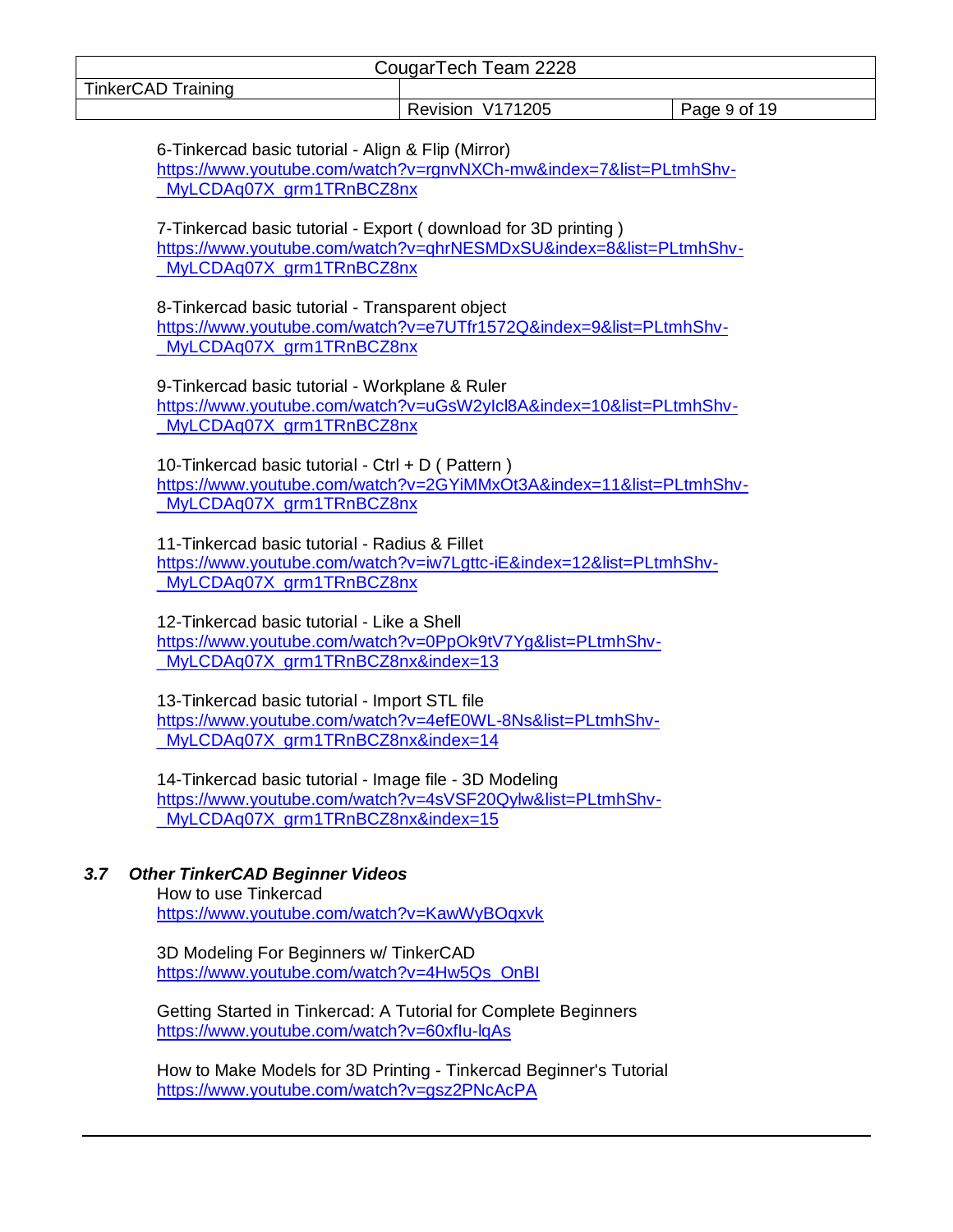|                           | CougarTech Team 2228 |              |
|---------------------------|----------------------|--------------|
| <b>TinkerCAD Training</b> |                      |              |
|                           | Revision V171205     | Page 9 of 19 |

6-Tinkercad basic tutorial - Align & Flip (Mirror) [https://www.youtube.com/watch?v=rgnvNXCh-mw&index=7&list=PLtmhShv-](https://www.youtube.com/watch?v=rgnvNXCh-mw&index=7&list=PLtmhShv-_MyLCDAq07X_grm1TRnBCZ8nx) MyLCDAq07X\_grm1TRnBCZ8nx

7-Tinkercad basic tutorial - Export ( download for 3D printing ) [https://www.youtube.com/watch?v=qhrNESMDxSU&index=8&list=PLtmhShv-](https://www.youtube.com/watch?v=qhrNESMDxSU&index=8&list=PLtmhShv-_MyLCDAq07X_grm1TRnBCZ8nx) [\\_MyLCDAq07X\\_grm1TRnBCZ8nx](https://www.youtube.com/watch?v=qhrNESMDxSU&index=8&list=PLtmhShv-_MyLCDAq07X_grm1TRnBCZ8nx)

8-Tinkercad basic tutorial - Transparent object [https://www.youtube.com/watch?v=e7UTfr1572Q&index=9&list=PLtmhShv-](https://www.youtube.com/watch?v=e7UTfr1572Q&index=9&list=PLtmhShv-_MyLCDAq07X_grm1TRnBCZ8nx) MyLCDAq07X\_grm1TRnBCZ8nx

9-Tinkercad basic tutorial - Workplane & Ruler [https://www.youtube.com/watch?v=uGsW2yIcl8A&index=10&list=PLtmhShv-](https://www.youtube.com/watch?v=uGsW2yIcl8A&index=10&list=PLtmhShv-_MyLCDAq07X_grm1TRnBCZ8nx) [\\_MyLCDAq07X\\_grm1TRnBCZ8nx](https://www.youtube.com/watch?v=uGsW2yIcl8A&index=10&list=PLtmhShv-_MyLCDAq07X_grm1TRnBCZ8nx)

10-Tinkercad basic tutorial - Ctrl + D ( Pattern ) [https://www.youtube.com/watch?v=2GYiMMxOt3A&index=11&list=PLtmhShv-](https://www.youtube.com/watch?v=2GYiMMxOt3A&index=11&list=PLtmhShv-_MyLCDAq07X_grm1TRnBCZ8nx) MyLCDAq07X\_grm1TRnBCZ8nx

11-Tinkercad basic tutorial - Radius & Fillet [https://www.youtube.com/watch?v=iw7Lgttc-iE&index=12&list=PLtmhShv-](https://www.youtube.com/watch?v=iw7Lgttc-iE&index=12&list=PLtmhShv-_MyLCDAq07X_grm1TRnBCZ8nx) [\\_MyLCDAq07X\\_grm1TRnBCZ8nx](https://www.youtube.com/watch?v=iw7Lgttc-iE&index=12&list=PLtmhShv-_MyLCDAq07X_grm1TRnBCZ8nx)

12-Tinkercad basic tutorial - Like a Shell [https://www.youtube.com/watch?v=0PpOk9tV7Yg&list=PLtmhShv-](https://www.youtube.com/watch?v=0PpOk9tV7Yg&list=PLtmhShv-_MyLCDAq07X_grm1TRnBCZ8nx&index=13) MyLCDAq07X\_grm1TRnBCZ8nx&index=13

13-Tinkercad basic tutorial - Import STL file [https://www.youtube.com/watch?v=4efE0WL-8Ns&list=PLtmhShv-](https://www.youtube.com/watch?v=4efE0WL-8Ns&list=PLtmhShv-_MyLCDAq07X_grm1TRnBCZ8nx&index=14) [\\_MyLCDAq07X\\_grm1TRnBCZ8nx&index=14](https://www.youtube.com/watch?v=4efE0WL-8Ns&list=PLtmhShv-_MyLCDAq07X_grm1TRnBCZ8nx&index=14)

14-Tinkercad basic tutorial - Image file - 3D Modeling [https://www.youtube.com/watch?v=4sVSF20Qylw&list=PLtmhShv-](https://www.youtube.com/watch?v=4sVSF20Qylw&list=PLtmhShv-_MyLCDAq07X_grm1TRnBCZ8nx&index=15) MyLCDAq07X\_grm1TRnBCZ8nx&index=15

# <span id="page-8-0"></span>*3.7 Other TinkerCAD Beginner Videos*

How to use Tinkercad <https://www.youtube.com/watch?v=KawWyBOqxvk>

3D Modeling For Beginners w/ TinkerCAD [https://www.youtube.com/watch?v=4Hw5Qs\\_OnBI](https://www.youtube.com/watch?v=4Hw5Qs_OnBI)

Getting Started in Tinkercad: A Tutorial for Complete Beginners <https://www.youtube.com/watch?v=60xfIu-lqAs>

How to Make Models for 3D Printing - Tinkercad Beginner's Tutorial <https://www.youtube.com/watch?v=gsz2PNcAcPA>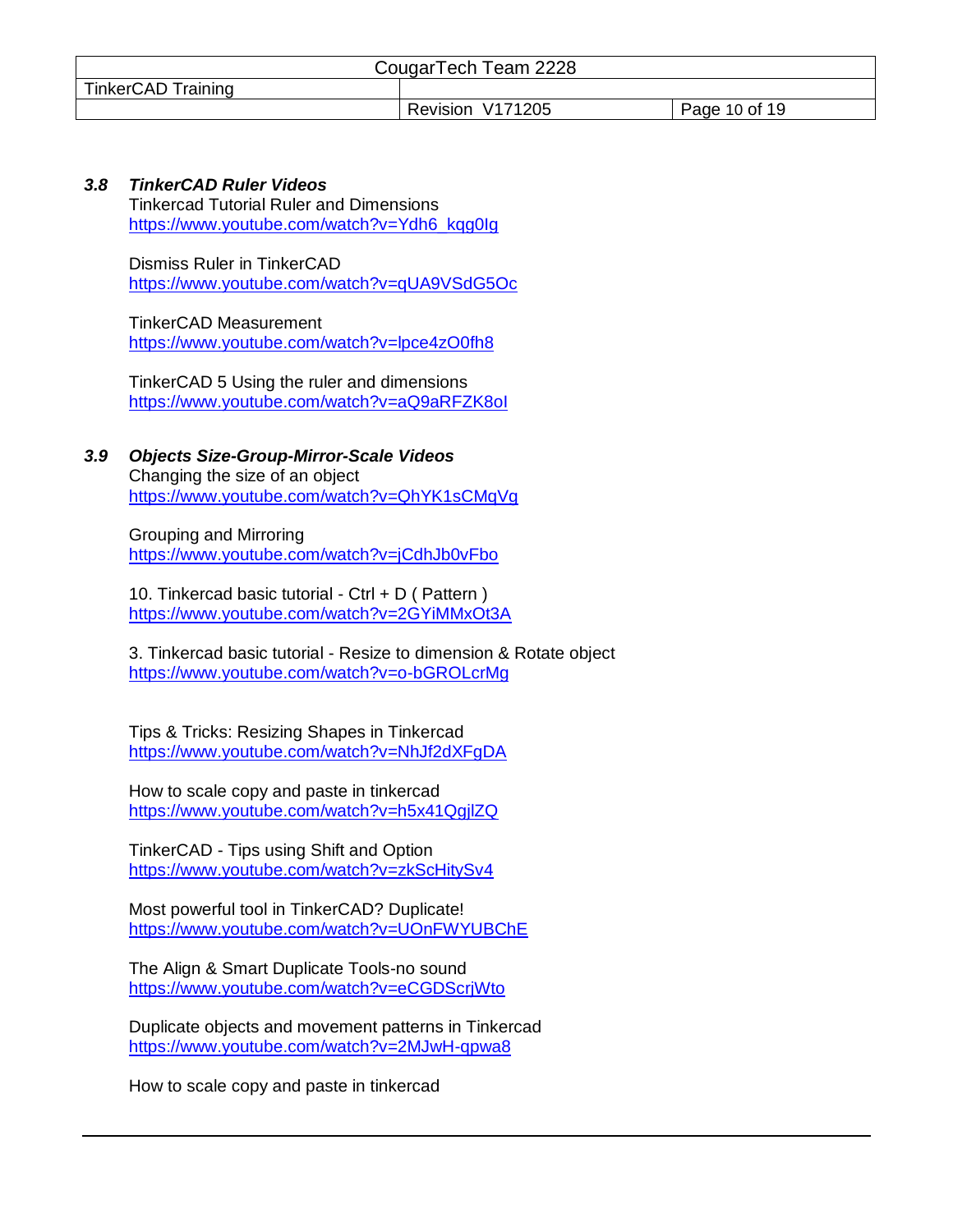|                           | CougarTech Team 2228 |               |
|---------------------------|----------------------|---------------|
| <b>TinkerCAD Training</b> |                      |               |
|                           | Revision V171205     | Page 10 of 19 |

## <span id="page-9-0"></span>*3.8 TinkerCAD Ruler Videos*

Tinkercad Tutorial Ruler and Dimensions [https://www.youtube.com/watch?v=Ydh6\\_kqg0Ig](https://www.youtube.com/watch?v=Ydh6_kqg0Ig)

Dismiss Ruler in TinkerCAD <https://www.youtube.com/watch?v=qUA9VSdG5Oc>

TinkerCAD Measurement <https://www.youtube.com/watch?v=lpce4zO0fh8>

TinkerCAD 5 Using the ruler and dimensions <https://www.youtube.com/watch?v=aQ9aRFZK8oI>

<span id="page-9-1"></span>*3.9 Objects Size-Group-Mirror-Scale Videos* Changing the size of an object <https://www.youtube.com/watch?v=QhYK1sCMqVg>

Grouping and Mirroring <https://www.youtube.com/watch?v=jCdhJb0vFbo>

10. Tinkercad basic tutorial - Ctrl + D ( Pattern ) <https://www.youtube.com/watch?v=2GYiMMxOt3A>

3. Tinkercad basic tutorial - Resize to dimension & Rotate object <https://www.youtube.com/watch?v=o-bGROLcrMg>

Tips & Tricks: Resizing Shapes in Tinkercad <https://www.youtube.com/watch?v=NhJf2dXFgDA>

How to scale copy and paste in tinkercad <https://www.youtube.com/watch?v=h5x41QgjlZQ>

TinkerCAD - Tips using Shift and Option <https://www.youtube.com/watch?v=zkScHitySv4>

Most powerful tool in TinkerCAD? Duplicate! <https://www.youtube.com/watch?v=UOnFWYUBChE>

The Align & Smart Duplicate Tools-no sound <https://www.youtube.com/watch?v=eCGDScrjWto>

Duplicate objects and movement patterns in Tinkercad <https://www.youtube.com/watch?v=2MJwH-qpwa8>

How to scale copy and paste in tinkercad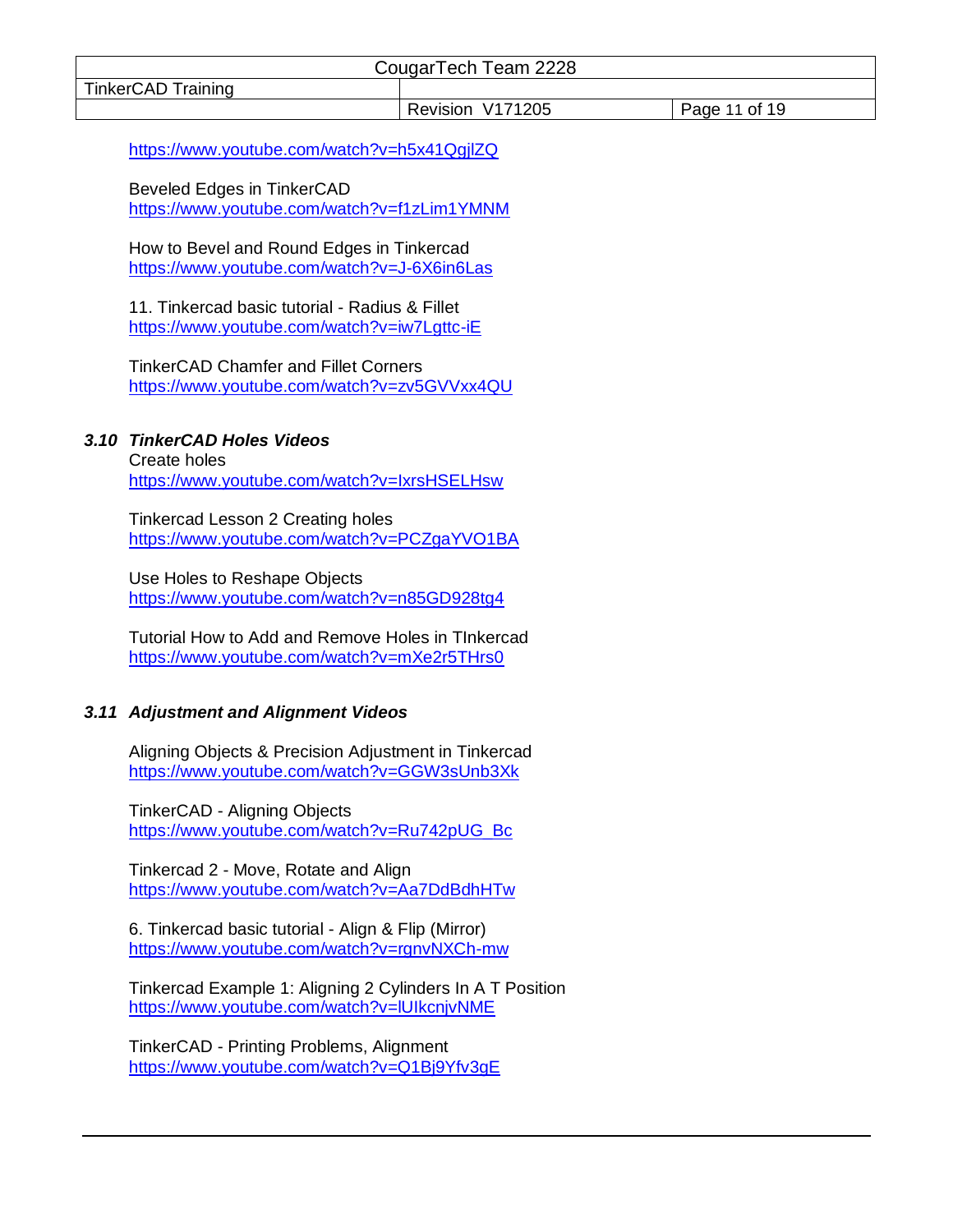| CougarTech Team 2228 |                  |               |  |
|----------------------|------------------|---------------|--|
| TinkerCAD Training   |                  |               |  |
|                      | Revision V171205 | Page 11 of 19 |  |

<https://www.youtube.com/watch?v=h5x41QgjlZQ>

Beveled Edges in TinkerCAD <https://www.youtube.com/watch?v=f1zLim1YMNM>

How to Bevel and Round Edges in Tinkercad <https://www.youtube.com/watch?v=J-6X6in6Las>

11. Tinkercad basic tutorial - Radius & Fillet <https://www.youtube.com/watch?v=iw7Lgttc-iE>

TinkerCAD Chamfer and Fillet Corners <https://www.youtube.com/watch?v=zv5GVVxx4QU>

#### <span id="page-10-0"></span>*3.10 TinkerCAD Holes Videos*

Create holes <https://www.youtube.com/watch?v=IxrsHSELHsw>

Tinkercad Lesson 2 Creating holes <https://www.youtube.com/watch?v=PCZgaYVO1BA>

Use Holes to Reshape Objects <https://www.youtube.com/watch?v=n85GD928tg4>

Tutorial How to Add and Remove Holes in TInkercad <https://www.youtube.com/watch?v=mXe2r5THrs0>

#### <span id="page-10-1"></span>*3.11 Adjustment and Alignment Videos*

Aligning Objects & Precision Adjustment in Tinkercad <https://www.youtube.com/watch?v=GGW3sUnb3Xk>

TinkerCAD - Aligning Objects [https://www.youtube.com/watch?v=Ru742pUG\\_Bc](https://www.youtube.com/watch?v=Ru742pUG_Bc)

Tinkercad 2 - Move, Rotate and Align <https://www.youtube.com/watch?v=Aa7DdBdhHTw>

6. Tinkercad basic tutorial - Align & Flip (Mirror) <https://www.youtube.com/watch?v=rgnvNXCh-mw>

Tinkercad Example 1: Aligning 2 Cylinders In A T Position <https://www.youtube.com/watch?v=lUIkcnjvNME>

TinkerCAD - Printing Problems, Alignment <https://www.youtube.com/watch?v=Q1Bj9Yfv3gE>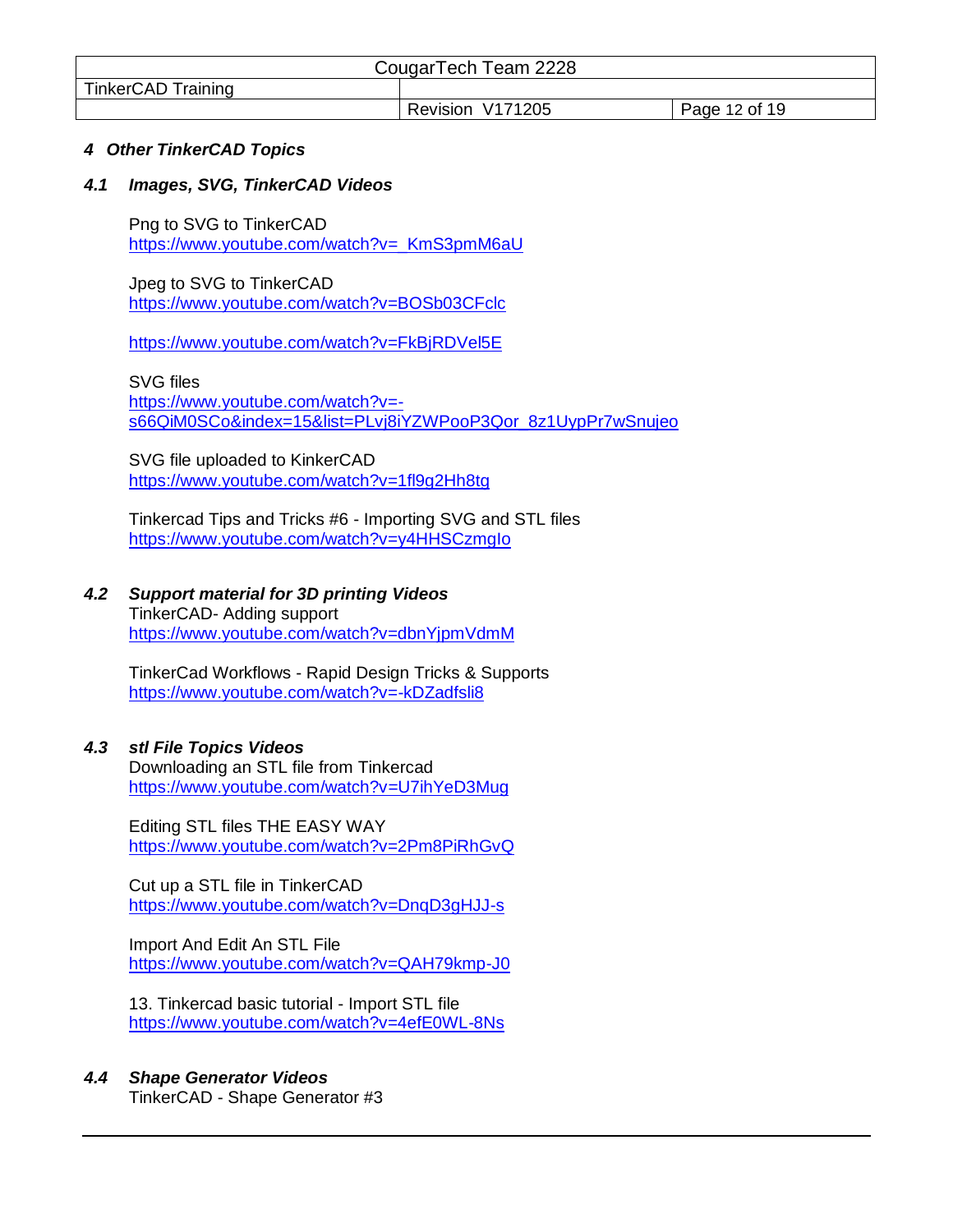| CougarTech Team 2228 |                  |               |
|----------------------|------------------|---------------|
| TinkerCAD Training   |                  |               |
|                      | Revision V171205 | Page 12 of 19 |

#### <span id="page-11-0"></span>*4 Other TinkerCAD Topics*

#### <span id="page-11-1"></span>*4.1 Images, SVG, TinkerCAD Videos*

Png to SVG to TinkerCAD https://www.youtube.com/watch?v= KmS3pmM6aU

Jpeg to SVG to TinkerCAD <https://www.youtube.com/watch?v=BOSb03CFclc>

<https://www.youtube.com/watch?v=FkBjRDVel5E>

SVG files [https://www.youtube.com/watch?v=](https://www.youtube.com/watch?v=-s66QiM0SCo&index=15&list=PLvj8iYZWPooP3Qor_8z1UypPr7wSnujeo) [s66QiM0SCo&index=15&list=PLvj8iYZWPooP3Qor\\_8z1UypPr7wSnujeo](https://www.youtube.com/watch?v=-s66QiM0SCo&index=15&list=PLvj8iYZWPooP3Qor_8z1UypPr7wSnujeo)

SVG file uploaded to KinkerCAD <https://www.youtube.com/watch?v=1fl9g2Hh8tg>

Tinkercad Tips and Tricks #6 - Importing SVG and STL files <https://www.youtube.com/watch?v=y4HHSCzmgIo>

# <span id="page-11-2"></span>*4.2 Support material for 3D printing Videos*

TinkerCAD- Adding support <https://www.youtube.com/watch?v=dbnYjpmVdmM>

TinkerCad Workflows - Rapid Design Tricks & Supports <https://www.youtube.com/watch?v=-kDZadfsli8>

# <span id="page-11-3"></span>*4.3 stl File Topics Videos*

Downloading an STL file from Tinkercad <https://www.youtube.com/watch?v=U7ihYeD3Mug>

Editing STL files THE EASY WAY <https://www.youtube.com/watch?v=2Pm8PiRhGvQ>

Cut up a STL file in TinkerCAD <https://www.youtube.com/watch?v=DnqD3gHJJ-s>

Import And Edit An STL File <https://www.youtube.com/watch?v=QAH79kmp-J0>

13. Tinkercad basic tutorial - Import STL file <https://www.youtube.com/watch?v=4efE0WL-8Ns>

# <span id="page-11-4"></span>*4.4 Shape Generator Videos*

TinkerCAD - Shape Generator #3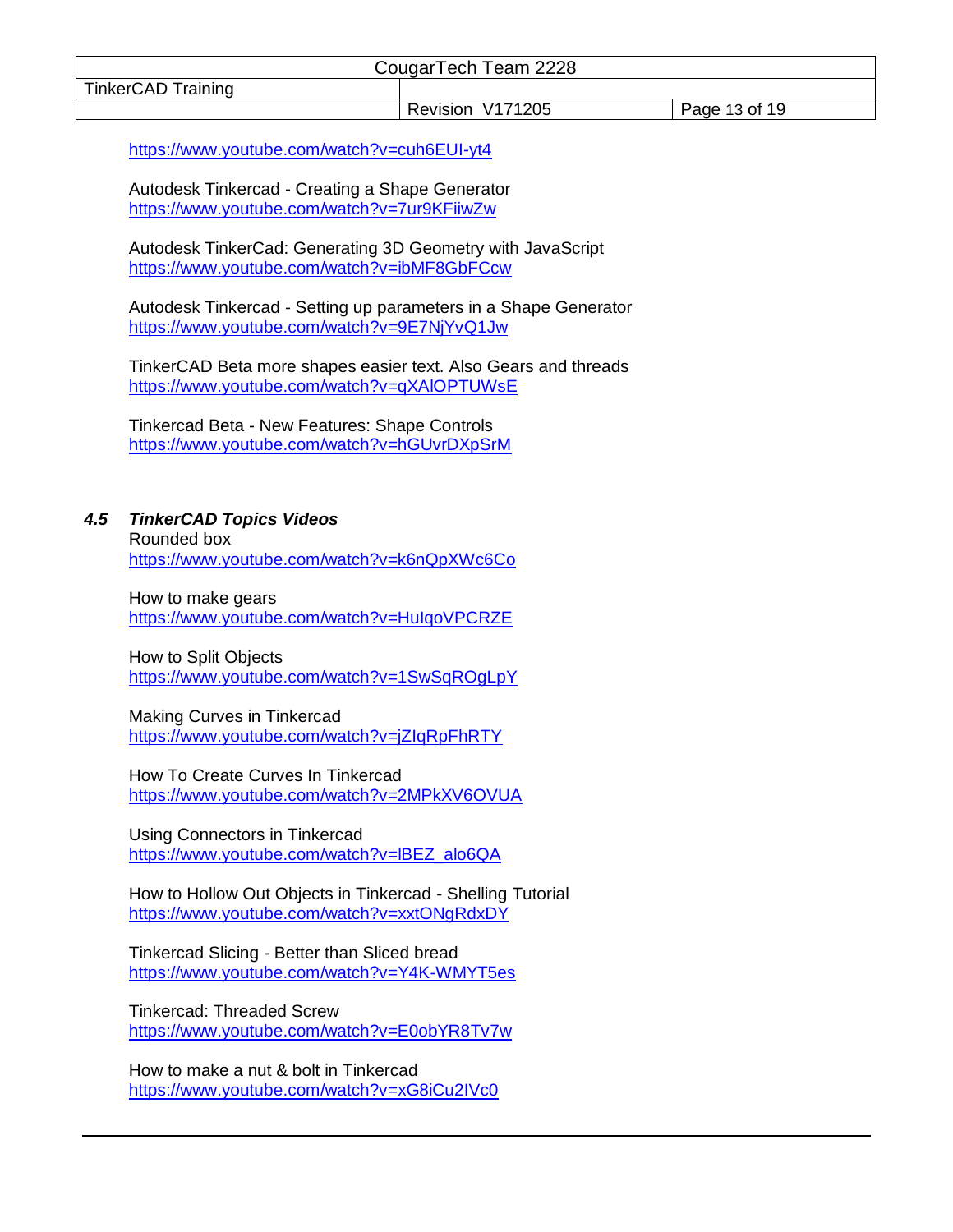| CougarTech Team 2228      |                  |               |  |
|---------------------------|------------------|---------------|--|
| <b>TinkerCAD Training</b> |                  |               |  |
|                           | Revision V171205 | Page 13 of 19 |  |

<https://www.youtube.com/watch?v=cuh6EUI-yt4>

Autodesk Tinkercad - Creating a Shape Generator <https://www.youtube.com/watch?v=7ur9KFiiwZw>

Autodesk TinkerCad: Generating 3D Geometry with JavaScript <https://www.youtube.com/watch?v=ibMF8GbFCcw>

Autodesk Tinkercad - Setting up parameters in a Shape Generator <https://www.youtube.com/watch?v=9E7NjYvQ1Jw>

TinkerCAD Beta more shapes easier text. Also Gears and threads <https://www.youtube.com/watch?v=qXAlOPTUWsE>

Tinkercad Beta - New Features: Shape Controls <https://www.youtube.com/watch?v=hGUvrDXpSrM>

# <span id="page-12-0"></span>*4.5 TinkerCAD Topics Videos*

Rounded box <https://www.youtube.com/watch?v=k6nQpXWc6Co>

How to make gears <https://www.youtube.com/watch?v=HuIqoVPCRZE>

How to Split Objects <https://www.youtube.com/watch?v=1SwSqROgLpY>

Making Curves in Tinkercad <https://www.youtube.com/watch?v=jZIqRpFhRTY>

How To Create Curves In Tinkercad <https://www.youtube.com/watch?v=2MPkXV6OVUA>

Using Connectors in Tinkercad [https://www.youtube.com/watch?v=lBEZ\\_alo6QA](https://www.youtube.com/watch?v=lBEZ_alo6QA)

How to Hollow Out Objects in Tinkercad - Shelling Tutorial <https://www.youtube.com/watch?v=xxtONgRdxDY>

Tinkercad Slicing - Better than Sliced bread <https://www.youtube.com/watch?v=Y4K-WMYT5es>

Tinkercad: Threaded Screw <https://www.youtube.com/watch?v=E0obYR8Tv7w>

How to make a nut & bolt in Tinkercad <https://www.youtube.com/watch?v=xG8iCu2IVc0>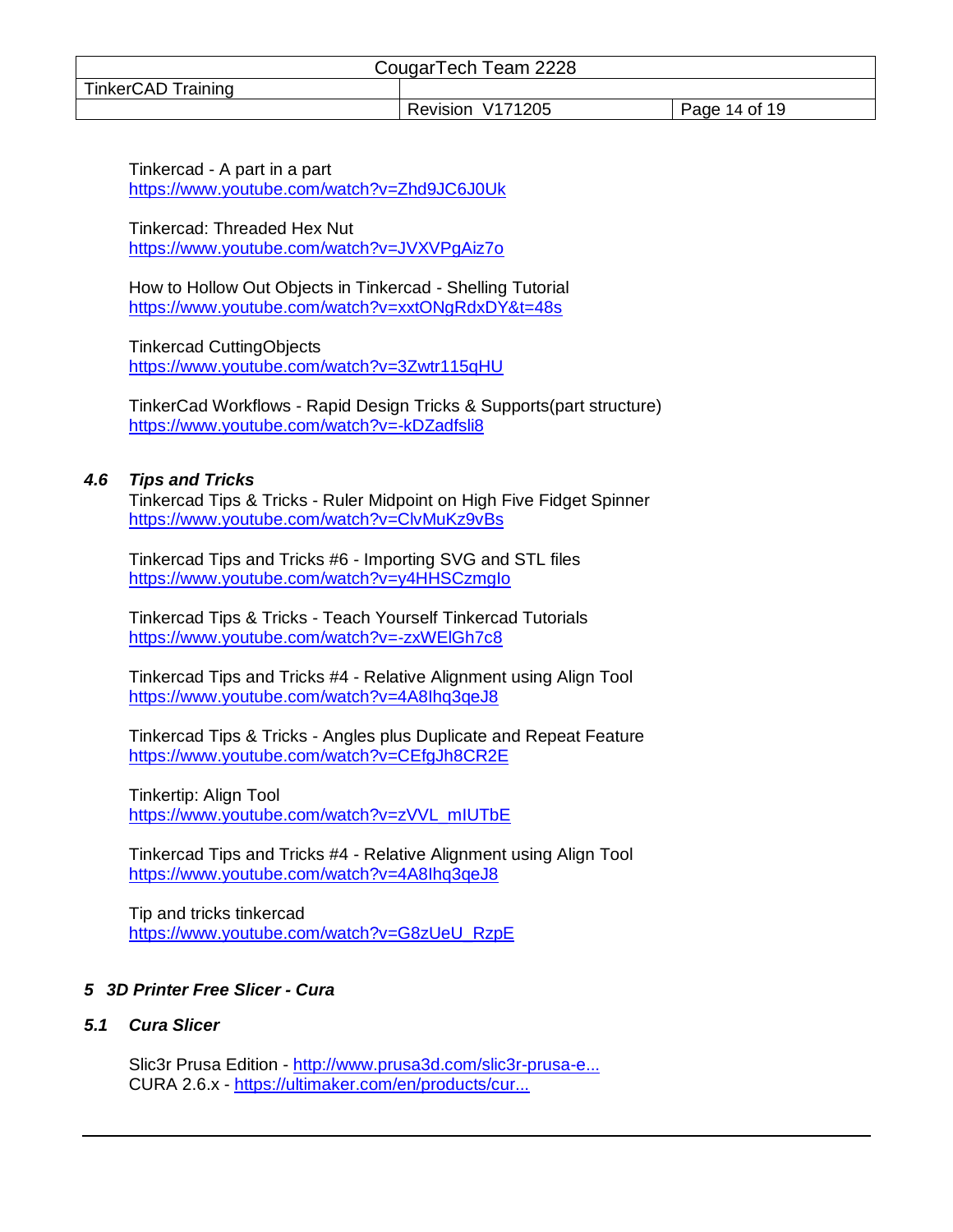| CougarTech Team 2228      |                  |               |  |
|---------------------------|------------------|---------------|--|
| <b>TinkerCAD Training</b> |                  |               |  |
|                           | Revision V171205 | Page 14 of 19 |  |

Tinkercad - A part in a part <https://www.youtube.com/watch?v=Zhd9JC6J0Uk>

Tinkercad: Threaded Hex Nut <https://www.youtube.com/watch?v=JVXVPgAiz7o>

How to Hollow Out Objects in Tinkercad - Shelling Tutorial <https://www.youtube.com/watch?v=xxtONgRdxDY&t=48s>

Tinkercad CuttingObjects <https://www.youtube.com/watch?v=3Zwtr115qHU>

TinkerCad Workflows - Rapid Design Tricks & Supports(part structure) <https://www.youtube.com/watch?v=-kDZadfsli8>

#### <span id="page-13-0"></span>*4.6 Tips and Tricks*

Tinkercad Tips & Tricks - Ruler Midpoint on High Five Fidget Spinner <https://www.youtube.com/watch?v=ClvMuKz9vBs>

Tinkercad Tips and Tricks #6 - Importing SVG and STL files <https://www.youtube.com/watch?v=y4HHSCzmgIo>

Tinkercad Tips & Tricks - Teach Yourself Tinkercad Tutorials <https://www.youtube.com/watch?v=-zxWElGh7c8>

Tinkercad Tips and Tricks #4 - Relative Alignment using Align Tool <https://www.youtube.com/watch?v=4A8Ihq3qeJ8>

Tinkercad Tips & Tricks - Angles plus Duplicate and Repeat Feature <https://www.youtube.com/watch?v=CEfgJh8CR2E>

Tinkertip: Align Tool [https://www.youtube.com/watch?v=zVVL\\_mIUTbE](https://www.youtube.com/watch?v=zVVL_mIUTbE)

Tinkercad Tips and Tricks #4 - Relative Alignment using Align Tool <https://www.youtube.com/watch?v=4A8Ihq3qeJ8>

Tip and tricks tinkercad [https://www.youtube.com/watch?v=G8zUeU\\_RzpE](https://www.youtube.com/watch?v=G8zUeU_RzpE)

# <span id="page-13-1"></span>*5 3D Printer Free Slicer - Cura*

#### <span id="page-13-2"></span>*5.1 Cura Slicer*

Slic3r Prusa Edition - [http://www.prusa3d.com/slic3r-prusa-e...](https://www.youtube.com/redirect?v=F7JuMa35IjA&event=video_description&q=http%3A%2F%2Fwww.prusa3d.com%2Fslic3r-prusa-edition%2F&redir_token=vtfXBQXPlw2dim1xTe4T-fde1KF8MTUxMTcwNTczOUAxNTExNjE5MzM5) CURA 2.6.x - [https://ultimaker.com/en/products/cur...](https://www.youtube.com/redirect?v=F7JuMa35IjA&event=video_description&q=https%3A%2F%2Fultimaker.com%2Fen%2Fproducts%2Fcura-software&redir_token=vtfXBQXPlw2dim1xTe4T-fde1KF8MTUxMTcwNTczOUAxNTExNjE5MzM5)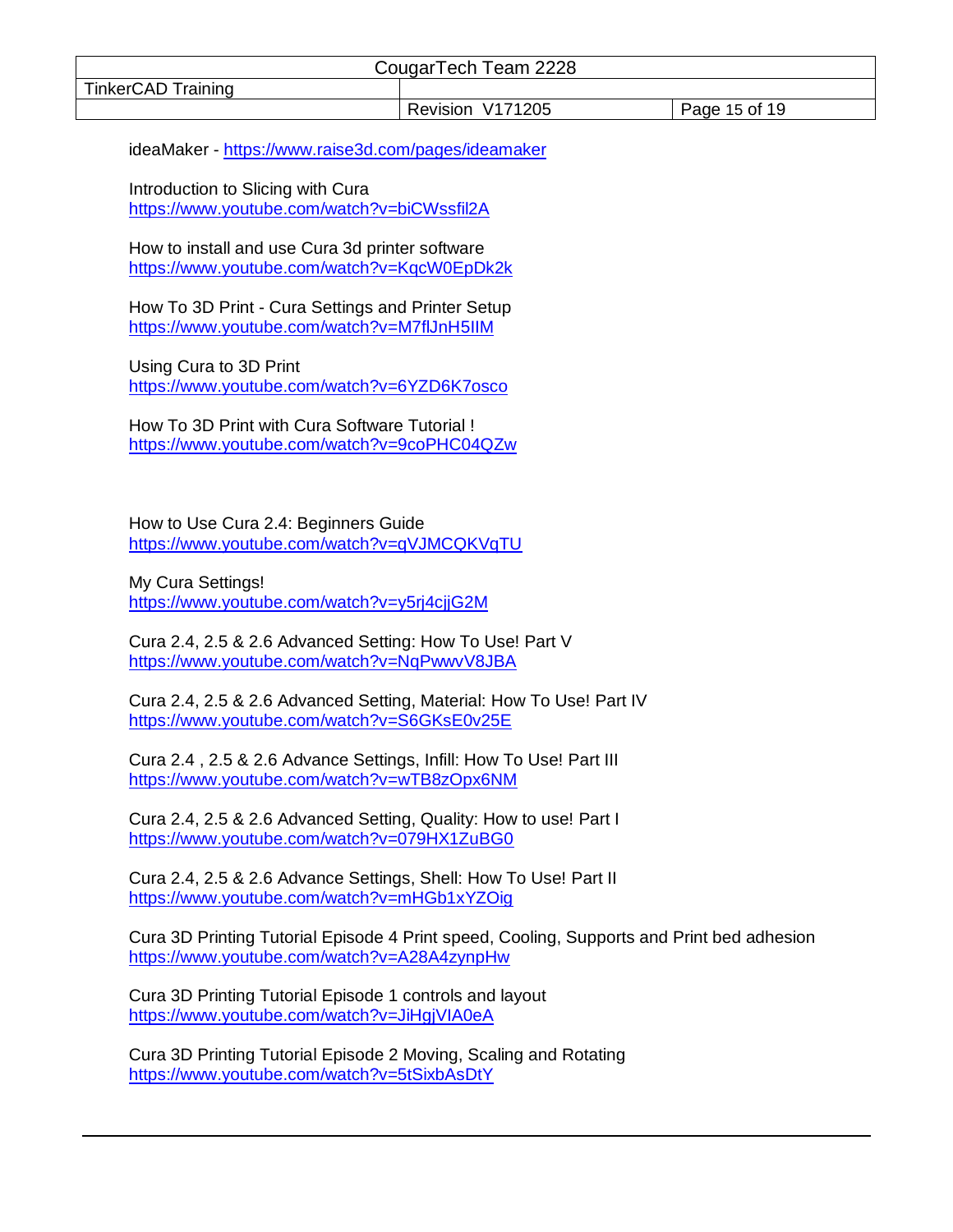| CougarTech Team 2228 |                  |               |
|----------------------|------------------|---------------|
| TinkerCAD Training   |                  |               |
|                      | Revision V171205 | Page 15 of 19 |

ideaMaker - [https://www.raise3d.com/pages/ideamaker](https://www.youtube.com/redirect?v=F7JuMa35IjA&event=video_description&q=https%3A%2F%2Fwww.raise3d.com%2Fpages%2Fideamaker&redir_token=vtfXBQXPlw2dim1xTe4T-fde1KF8MTUxMTcwNTczOUAxNTExNjE5MzM5)

Introduction to Slicing with Cura <https://www.youtube.com/watch?v=biCWssfil2A>

How to install and use Cura 3d printer software <https://www.youtube.com/watch?v=KqcW0EpDk2k>

How To 3D Print - Cura Settings and Printer Setup <https://www.youtube.com/watch?v=M7flJnH5IIM>

Using Cura to 3D Print <https://www.youtube.com/watch?v=6YZD6K7osco>

How To 3D Print with Cura Software Tutorial ! <https://www.youtube.com/watch?v=9coPHC04QZw>

How to Use Cura 2.4: Beginners Guide <https://www.youtube.com/watch?v=qVJMCQKVqTU>

My Cura Settings! <https://www.youtube.com/watch?v=y5rj4cjjG2M>

Cura 2.4, 2.5 & 2.6 Advanced Setting: How To Use! Part V <https://www.youtube.com/watch?v=NqPwwvV8JBA>

Cura 2.4, 2.5 & 2.6 Advanced Setting, Material: How To Use! Part IV <https://www.youtube.com/watch?v=S6GKsE0v25E>

Cura 2.4 , 2.5 & 2.6 Advance Settings, Infill: How To Use! Part III <https://www.youtube.com/watch?v=wTB8zOpx6NM>

Cura 2.4, 2.5 & 2.6 Advanced Setting, Quality: How to use! Part I <https://www.youtube.com/watch?v=079HX1ZuBG0>

Cura 2.4, 2.5 & 2.6 Advance Settings, Shell: How To Use! Part II <https://www.youtube.com/watch?v=mHGb1xYZOig>

Cura 3D Printing Tutorial Episode 4 Print speed, Cooling, Supports and Print bed adhesion <https://www.youtube.com/watch?v=A28A4zynpHw>

Cura 3D Printing Tutorial Episode 1 controls and layout <https://www.youtube.com/watch?v=JiHgjVIA0eA>

Cura 3D Printing Tutorial Episode 2 Moving, Scaling and Rotating <https://www.youtube.com/watch?v=5tSixbAsDtY>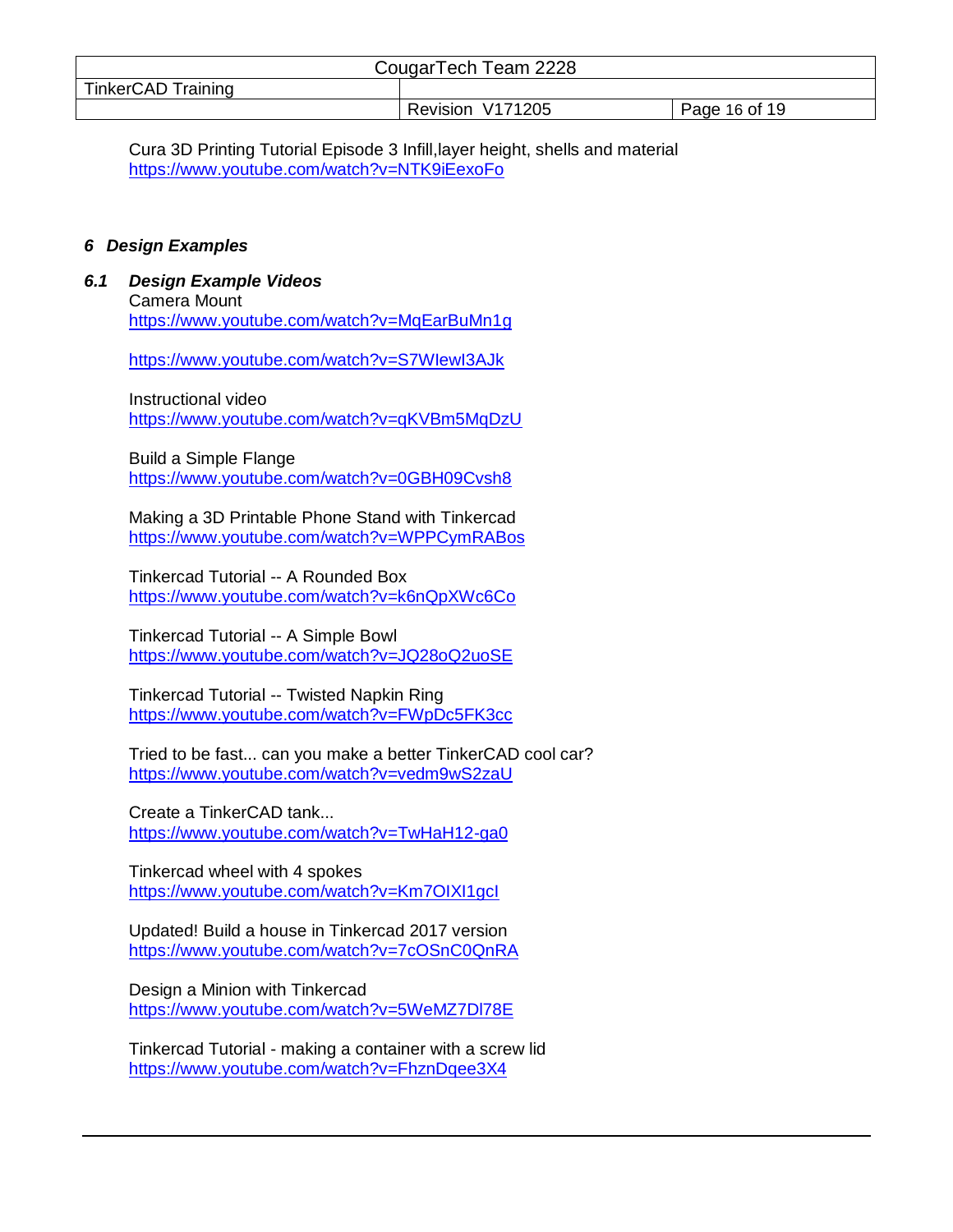| CougarTech Team 2228      |                  |               |  |
|---------------------------|------------------|---------------|--|
| <b>TinkerCAD Training</b> |                  |               |  |
|                           | Revision V171205 | Page 16 of 19 |  |

Cura 3D Printing Tutorial Episode 3 Infill,layer height, shells and material <https://www.youtube.com/watch?v=NTK9iEexoFo>

#### <span id="page-15-0"></span>*6 Design Examples*

<span id="page-15-1"></span>*6.1 Design Example Videos*

Camera Mount <https://www.youtube.com/watch?v=MqEarBuMn1g>

<https://www.youtube.com/watch?v=S7WIewI3AJk>

Instructional video <https://www.youtube.com/watch?v=qKVBm5MqDzU>

Build a Simple Flange <https://www.youtube.com/watch?v=0GBH09Cvsh8>

Making a 3D Printable Phone Stand with Tinkercad <https://www.youtube.com/watch?v=WPPCymRABos>

Tinkercad Tutorial -- A Rounded Box <https://www.youtube.com/watch?v=k6nQpXWc6Co>

Tinkercad Tutorial -- A Simple Bowl <https://www.youtube.com/watch?v=JQ28oQ2uoSE>

Tinkercad Tutorial -- Twisted Napkin Ring <https://www.youtube.com/watch?v=FWpDc5FK3cc>

Tried to be fast... can you make a better TinkerCAD cool car? <https://www.youtube.com/watch?v=vedm9wS2zaU>

Create a TinkerCAD tank... <https://www.youtube.com/watch?v=TwHaH12-ga0>

Tinkercad wheel with 4 spokes <https://www.youtube.com/watch?v=Km7OIXI1gcI>

Updated! Build a house in Tinkercad 2017 version <https://www.youtube.com/watch?v=7cOSnC0QnRA>

Design a Minion with Tinkercad <https://www.youtube.com/watch?v=5WeMZ7Dl78E>

Tinkercad Tutorial - making a container with a screw lid <https://www.youtube.com/watch?v=FhznDqee3X4>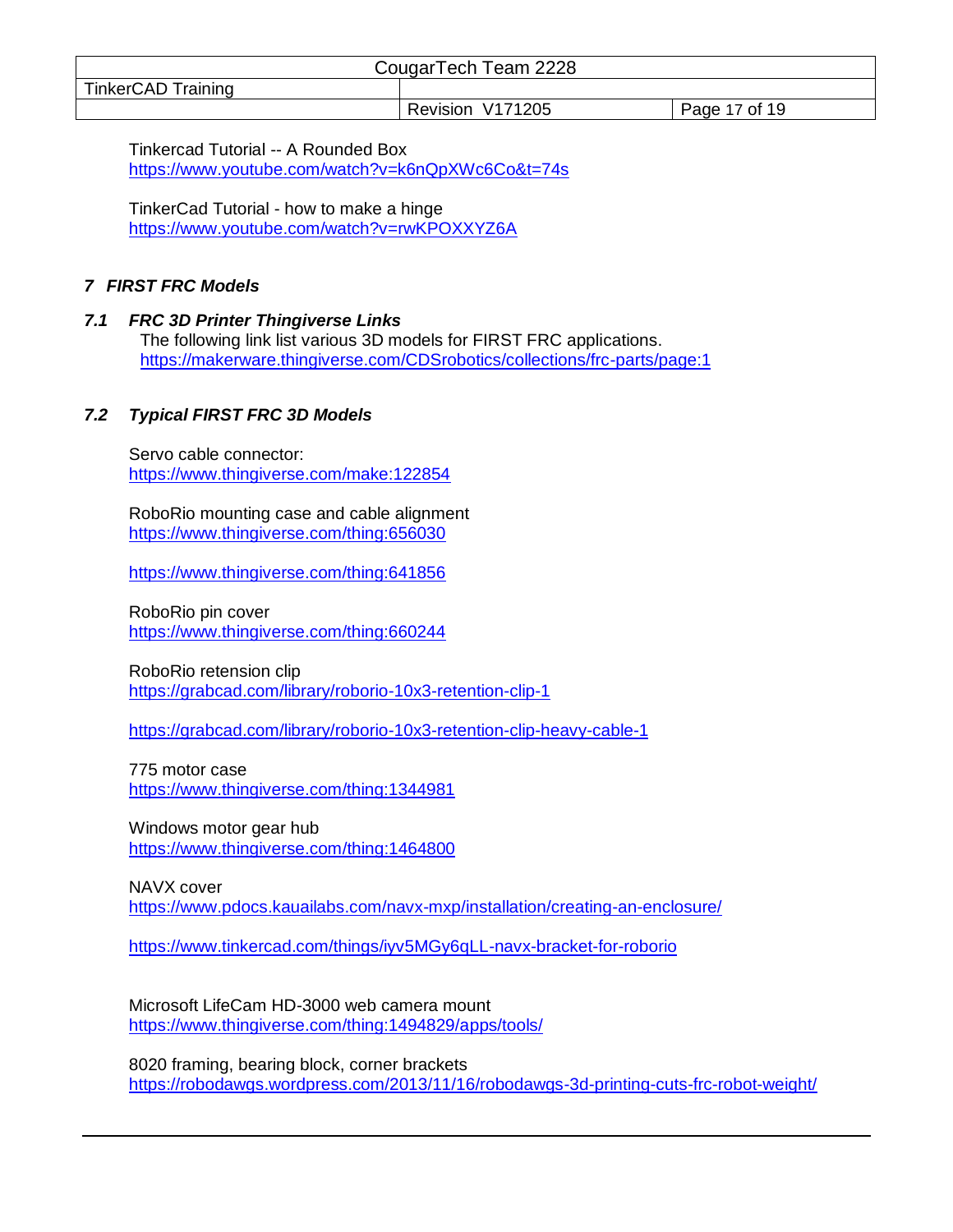| CougarTech Team 2228      |                  |               |  |
|---------------------------|------------------|---------------|--|
| <b>TinkerCAD Training</b> |                  |               |  |
|                           | Revision V171205 | Page 17 of 19 |  |

Tinkercad Tutorial -- A Rounded Box <https://www.youtube.com/watch?v=k6nQpXWc6Co&t=74s>

TinkerCad Tutorial - how to make a hinge <https://www.youtube.com/watch?v=rwKPOXXYZ6A>

# <span id="page-16-0"></span>*7 FIRST FRC Models*

# <span id="page-16-1"></span>*7.1 FRC 3D Printer Thingiverse Links*

The following link list various 3D models for FIRST FRC applications. <https://makerware.thingiverse.com/CDSrobotics/collections/frc-parts/page:1>

# <span id="page-16-2"></span>*7.2 Typical FIRST FRC 3D Models*

Servo cable connector: <https://www.thingiverse.com/make:122854>

RoboRio mounting case and cable alignment <https://www.thingiverse.com/thing:656030>

<https://www.thingiverse.com/thing:641856>

RoboRio pin cover <https://www.thingiverse.com/thing:660244>

RoboRio retension clip <https://grabcad.com/library/roborio-10x3-retention-clip-1>

<https://grabcad.com/library/roborio-10x3-retention-clip-heavy-cable-1>

775 motor case <https://www.thingiverse.com/thing:1344981>

Windows motor gear hub <https://www.thingiverse.com/thing:1464800>

NAVX cover

<https://www.pdocs.kauailabs.com/navx-mxp/installation/creating-an-enclosure/>

<https://www.tinkercad.com/things/iyv5MGy6qLL-navx-bracket-for-roborio>

Microsoft LifeCam HD-3000 web camera mount <https://www.thingiverse.com/thing:1494829/apps/tools/>

8020 framing, bearing block, corner brackets <https://robodawgs.wordpress.com/2013/11/16/robodawgs-3d-printing-cuts-frc-robot-weight/>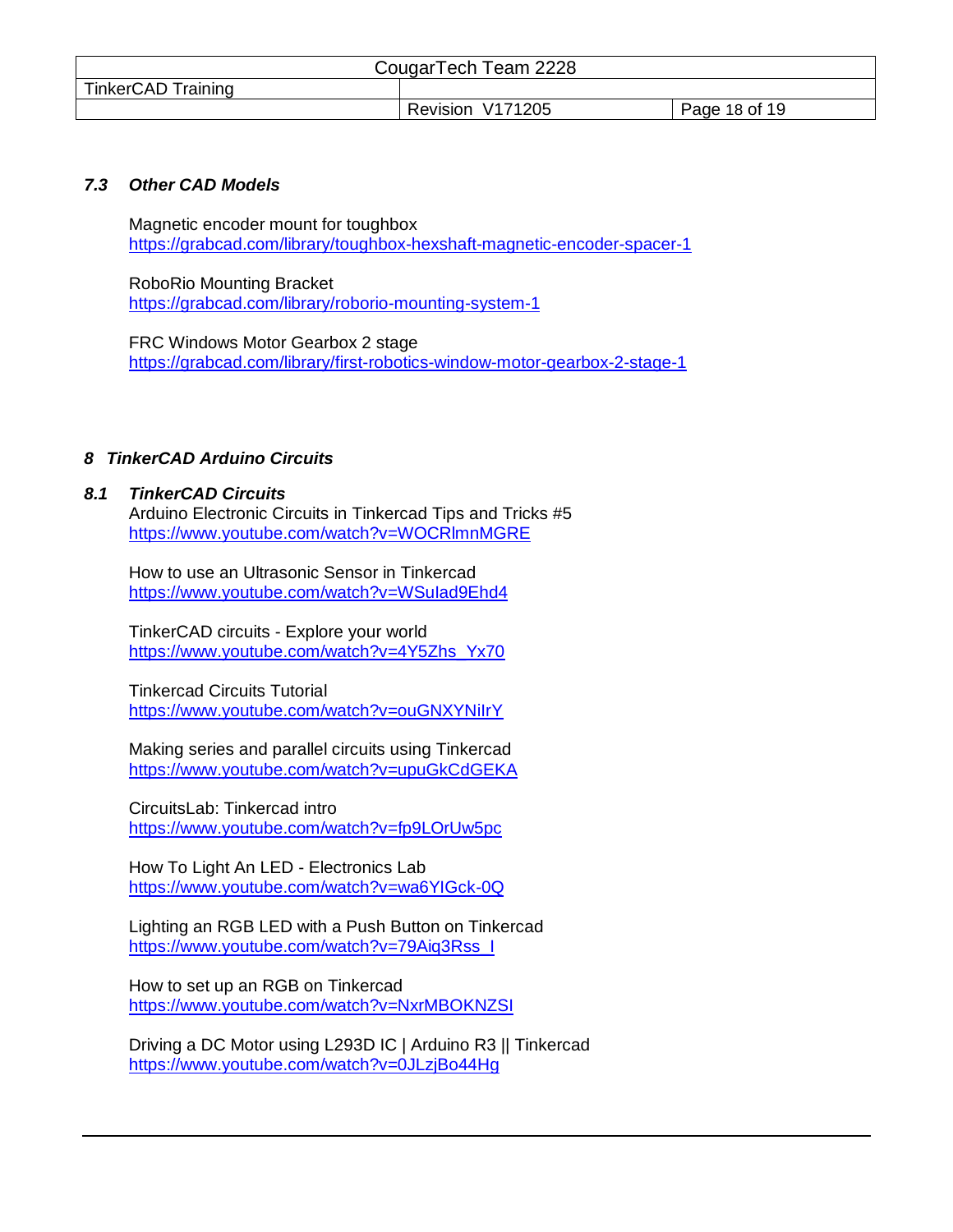| CougarTech Team 2228      |                  |               |
|---------------------------|------------------|---------------|
| <b>TinkerCAD Training</b> |                  |               |
|                           | Revision V171205 | Page 18 of 19 |

## <span id="page-17-0"></span>*7.3 Other CAD Models*

Magnetic encoder mount for toughbox <https://grabcad.com/library/toughbox-hexshaft-magnetic-encoder-spacer-1>

RoboRio Mounting Bracket <https://grabcad.com/library/roborio-mounting-system-1>

FRC Windows Motor Gearbox 2 stage <https://grabcad.com/library/first-robotics-window-motor-gearbox-2-stage-1>

# <span id="page-17-1"></span>*8 TinkerCAD Arduino Circuits*

#### <span id="page-17-2"></span>*8.1 TinkerCAD Circuits*

Arduino Electronic Circuits in Tinkercad Tips and Tricks #5 <https://www.youtube.com/watch?v=WOCRlmnMGRE>

How to use an Ultrasonic Sensor in Tinkercad <https://www.youtube.com/watch?v=WSuIad9Ehd4>

TinkerCAD circuits - Explore your world [https://www.youtube.com/watch?v=4Y5Zhs\\_Yx70](https://www.youtube.com/watch?v=4Y5Zhs_Yx70)

Tinkercad Circuits Tutorial <https://www.youtube.com/watch?v=ouGNXYNiIrY>

Making series and parallel circuits using Tinkercad <https://www.youtube.com/watch?v=upuGkCdGEKA>

CircuitsLab: Tinkercad intro <https://www.youtube.com/watch?v=fp9LOrUw5pc>

How To Light An LED - Electronics Lab <https://www.youtube.com/watch?v=wa6YIGck-0Q>

Lighting an RGB LED with a Push Button on Tinkercad [https://www.youtube.com/watch?v=79Aiq3Rss\\_I](https://www.youtube.com/watch?v=79Aiq3Rss_I)

How to set up an RGB on Tinkercad <https://www.youtube.com/watch?v=NxrMBOKNZSI>

Driving a DC Motor using L293D IC | Arduino R3 || Tinkercad <https://www.youtube.com/watch?v=0JLzjBo44Hg>